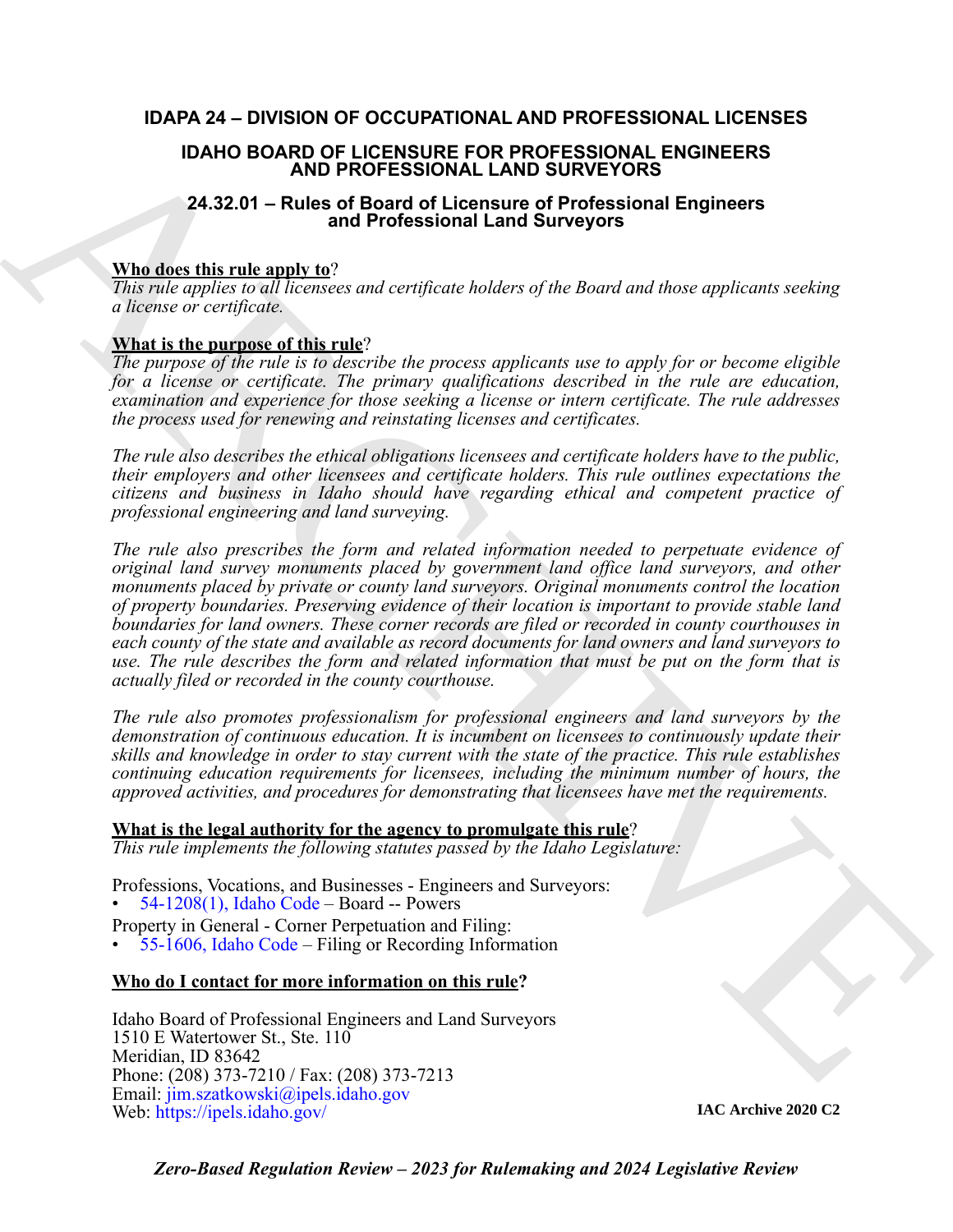# **IDAPA 24 – DIVISION OF OCCUPATIONAL AND PROFESSIONAL LICENSES**

# **IDAHO BOARD OF LICENSURE FOR PROFESSIONAL ENGINEERS AND PROFESSIONAL LAND SURVEYORS**

# **24.32.01 – Rules of Board of Licensure of Professional Engineers and Professional Land Surveyors**

# **Who does this rule apply to**?

*This rule applies to all licensees and certificate holders of the Board and those applicants seeking a license or certificate.* 

# **What is the purpose of this rule**?

*The purpose of the rule is to describe the process applicants use to apply for or become eligible for a license or certificate. The primary qualifications described in the rule are education, examination and experience for those seeking a license or intern certificate. The rule addresses the process used for renewing and reinstating licenses and certificates.*

*The rule also describes the ethical obligations licensees and certificate holders have to the public, their employers and other licensees and certificate holders. This rule outlines expectations the citizens and business in Idaho should have regarding ethical and competent practice of professional engineering and land surveying.*

IDAHO BOARD OF LICENSISION FOR PROFESSIONAL ENDIRENTS<br>
24.32.01 - Rules of Board of Licensum of Professional Engineers<br>
24.32.01 - Rules and Professional Engineers<br>
24.32.01 - Rules and Professional Engineers<br>
Who doesn't *The rule also prescribes the form and related information needed to perpetuate evidence of original land survey monuments placed by government land office land surveyors, and other monuments placed by private or county land surveyors. Original monuments control the location of property boundaries. Preserving evidence of their location is important to provide stable land boundaries for land owners. These corner records are filed or recorded in county courthouses in each county of the state and available as record documents for land owners and land surveyors to use. The rule describes the form and related information that must be put on the form that is actually filed or recorded in the county courthouse.*

*The rule also promotes professionalism for professional engineers and land surveyors by the demonstration of continuous education. It is incumbent on licensees to continuously update their skills and knowledge in order to stay current with the state of the practice. This rule establishes continuing education requirements for licensees, including the minimum number of hours, the approved activities, and procedures for demonstrating that licensees have met the requirements.*

# **What is the legal authority for the agency to promulgate this rule**?

*This rule implements the following statutes passed by the Idaho Legislature:*

Professions, Vocations, and Businesses - Engineers and Surveyors:

• 54-1208(1), Idaho Code – Board -- Powers

Property in General - Corner Perpetuation and Filing:

• 55-1606, Idaho Code – Filing or Recording Information

# **Who do I contact for more information on this rule?**

Idaho Board of Professional Engineers and Land Surveyors 1510 E Watertower St., Ste. 110 Meridian, ID 83642 Phone: (208) 373-7210 / Fax: (208) 373-7213 Email: jim.szatkowski@ipels.idaho.gov Web: https://ipels.idaho.gov/

**IAC Archive 2020 C2**

*Zero-Based Regulation Review – 2023 for Rulemaking and 2024 Legislative Review*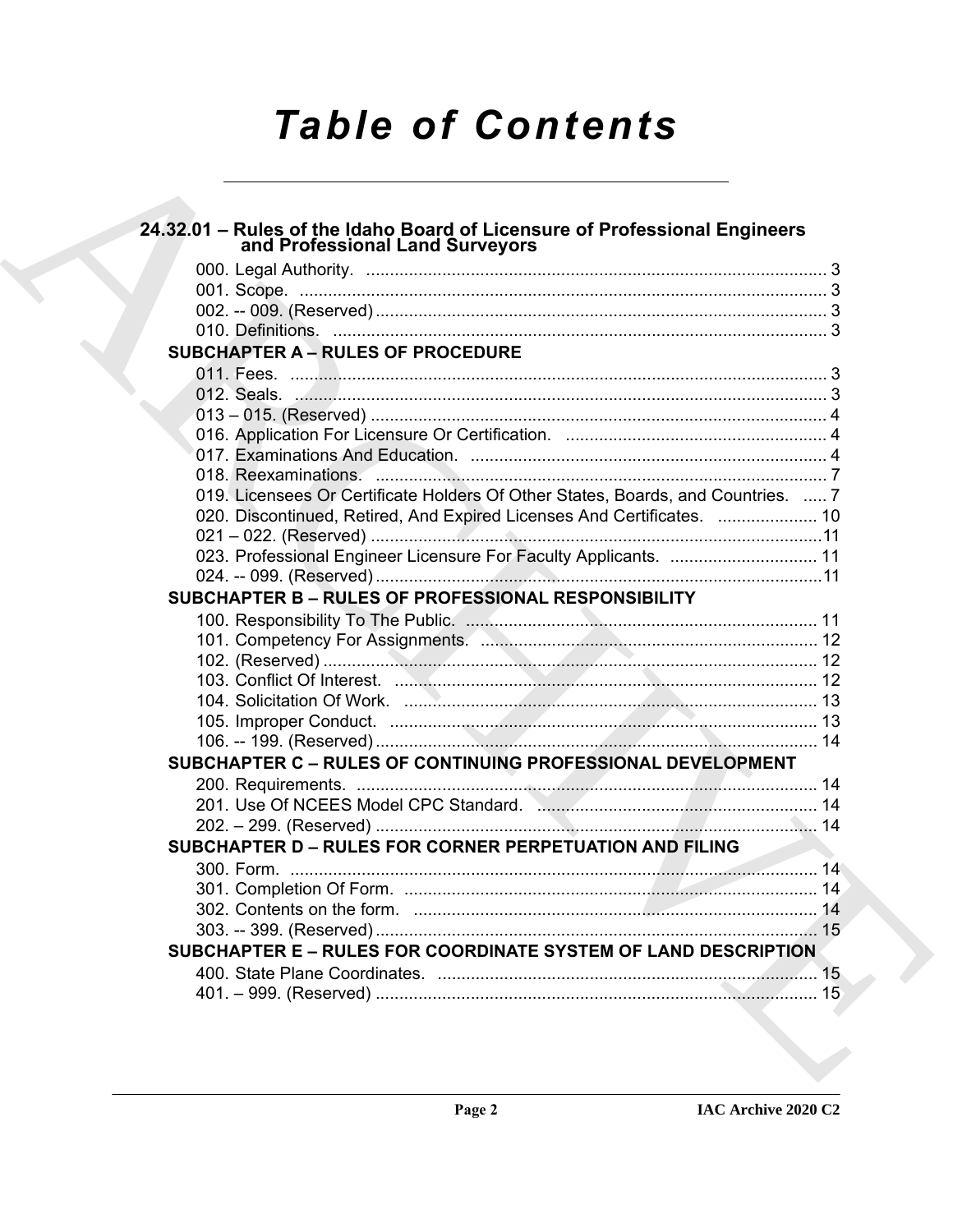# **Table of Contents**

| 24.32.01 - Rules of the Idaho Board of Licensure of Professional Engineers<br>and Professional Land Surveyors |  |
|---------------------------------------------------------------------------------------------------------------|--|
|                                                                                                               |  |
|                                                                                                               |  |
|                                                                                                               |  |
|                                                                                                               |  |
| <b>SUBCHAPTER A - RULES OF PROCEDURE</b>                                                                      |  |
|                                                                                                               |  |
|                                                                                                               |  |
|                                                                                                               |  |
|                                                                                                               |  |
|                                                                                                               |  |
|                                                                                                               |  |
| 019. Licensees Or Certificate Holders Of Other States, Boards, and Countries.  7                              |  |
| 020. Discontinued, Retired, And Expired Licenses And Certificates.  10                                        |  |
|                                                                                                               |  |
| 023. Professional Engineer Licensure For Faculty Applicants.  11                                              |  |
|                                                                                                               |  |
| SUBCHAPTER B - RULES OF PROFESSIONAL RESPONSIBILITY                                                           |  |
|                                                                                                               |  |
| 101. Competency For Assignments. Manuscription and Competency T2                                              |  |
|                                                                                                               |  |
|                                                                                                               |  |
|                                                                                                               |  |
|                                                                                                               |  |
| SUBCHAPTER C - RULES OF CONTINUING PROFESSIONAL DEVELOPMENT                                                   |  |
|                                                                                                               |  |
|                                                                                                               |  |
|                                                                                                               |  |
| SUBCHAPTER D - RULES FOR CORNER PERPETUATION AND FILING                                                       |  |
|                                                                                                               |  |
|                                                                                                               |  |
|                                                                                                               |  |
|                                                                                                               |  |
| SUBCHAPTER E - RULES FOR COORDINATE SYSTEM OF LAND DESCRIPTION                                                |  |
|                                                                                                               |  |
|                                                                                                               |  |
|                                                                                                               |  |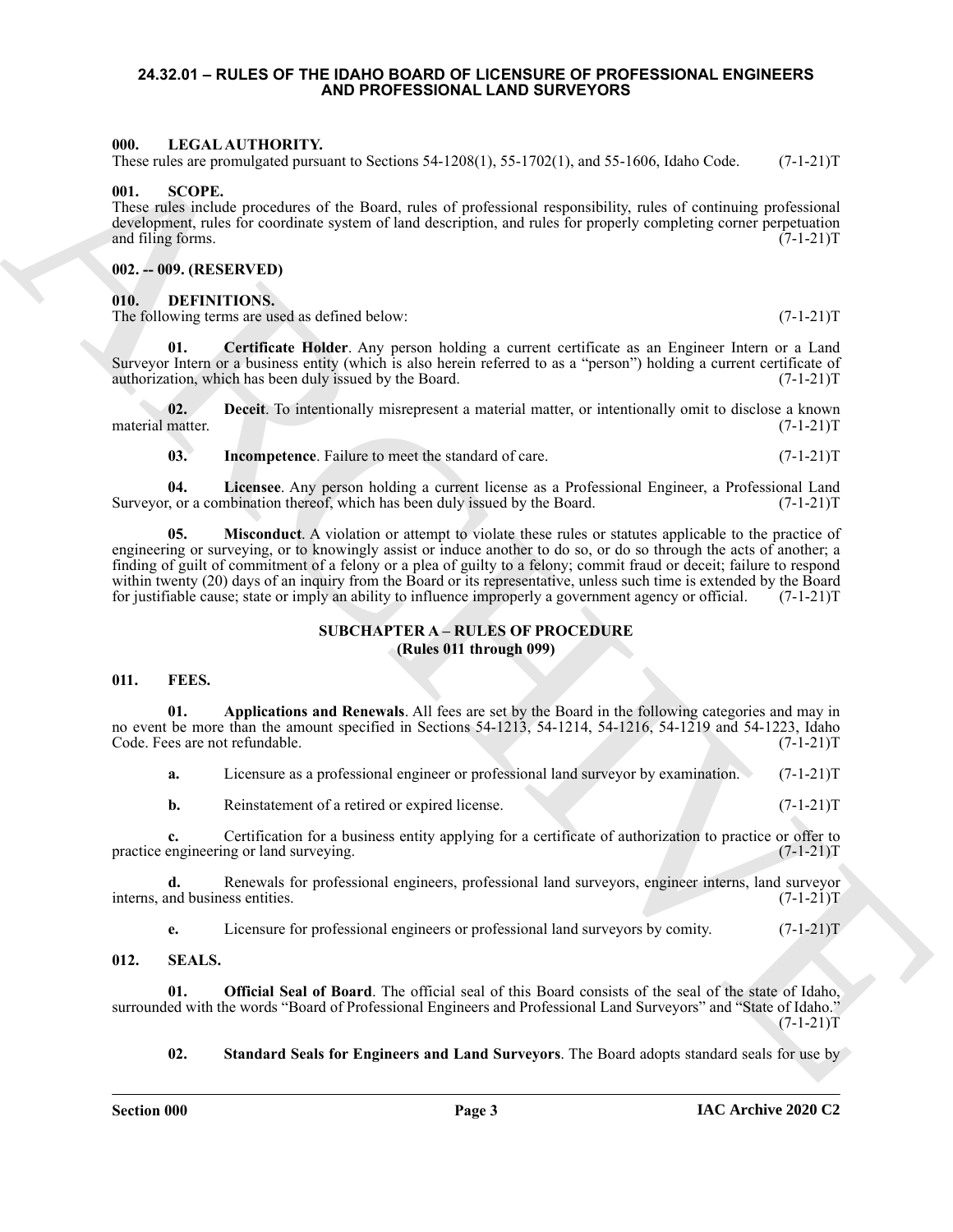#### <span id="page-2-0"></span>**24.32.01 – RULES OF THE IDAHO BOARD OF LICENSURE OF PROFESSIONAL ENGINEERS AND PROFESSIONAL LAND SURVEYORS**

#### <span id="page-2-16"></span><span id="page-2-1"></span>**000. LEGAL AUTHORITY.**

These rules are promulgated pursuant to Sections 54-1208(1), 55-1702(1), and 55-1606, Idaho Code. (7-1-21)T

#### <span id="page-2-17"></span><span id="page-2-2"></span>001.

These rules include procedures of the Board, rules of professional responsibility, rules of continuing professional development, rules for coordinate system of land description, and rules for properly completing corner perpetuation and filing forms. (7-1-21)T and filing forms.

#### <span id="page-2-3"></span>**002. -- 009. (RESERVED)**

#### <span id="page-2-9"></span><span id="page-2-4"></span>**010. DEFINITIONS.**

<span id="page-2-10"></span>The following terms are used as defined below: (7-1-21)T

**01. Certificate Holder**. Any person holding a current certificate as an Engineer Intern or a Land Surveyor Intern or a business entity (which is also herein referred to as a "person") holding a current certificate of authorization, which has been duly issued by the Board. (7-1-21) authorization, which has been duly issued by the Board.

**02. Deceit**. To intentionally misrepresent a material matter, or intentionally omit to disclose a known material matter. (7-1-21)T

<span id="page-2-14"></span><span id="page-2-13"></span><span id="page-2-12"></span><span id="page-2-11"></span>**03.** Incompetence. Failure to meet the standard of care.  $(7-1-21)$ T

**04.** Licensee. Any person holding a current license as a Professional Engineer, a Professional Land r, or a combination thereof, which has been duly issued by the Board. (7-1-21) Surveyor, or a combination thereof, which has been duly issued by the Board.

601. IDENTIFICATION TOWERS (1992) S. (1993), 1993), 1993), 1993 (1994), 1994 (1994), 1994 (1994), 1994 (1994), 1994 (1994), 1994 (1994), 1994 (1994), 1994 (1994), 1994 (1994), 1994 (1994), 1994 (1994), 1994 (1994), 1994 ( **05. Misconduct**. A violation or attempt to violate these rules or statutes applicable to the practice of engineering or surveying, or to knowingly assist or induce another to do so, or do so through the acts of another; a finding of guilt of commitment of a felony or a plea of guilty to a felony; commit fraud or deceit; failure to respond within twenty (20) days of an inquiry from the Board or its representative, unless such time is extended by the Board for justifiable cause; state or imply an ability to influence improperly a government agency or officia for justifiable cause; state or imply an ability to influence improperly a government agency or official.

#### **SUBCHAPTER A – RULES OF PROCEDURE (Rules 011 through 099)**

#### <span id="page-2-15"></span><span id="page-2-6"></span><span id="page-2-5"></span>**011. FEES.**

**01. Applications and Renewals**. All fees are set by the Board in the following categories and may in no event be more than the amount specified in Sections 54-1213, 54-1214, 54-1216, 54-1219 and 54-1223, Idaho Code. Fees are not refundable. (7-1-21) Code. Fees are not refundable.

<span id="page-2-8"></span>

| a. |  |  |  | Licensure as a professional engineer or professional land survey by examination. | $(7-1-21)T$ |
|----|--|--|--|----------------------------------------------------------------------------------|-------------|
|----|--|--|--|----------------------------------------------------------------------------------|-------------|

**b.** Reinstatement of a retired or expired license. (7-1-21)T

**c.** Certification for a business entity applying for a certificate of authorization to practice or offer to engineering or land surveying. (7-1-21) practice engineering or land surveying.

**d.** Renewals for professional engineers, professional land surveyors, engineer interns, land surveyor nd business entities.  $(7-1-21)$ interns, and business entities.

<span id="page-2-19"></span><span id="page-2-18"></span>**e.** Licensure for professional engineers or professional land surveyors by comity. (7-1-21)T

#### <span id="page-2-7"></span>**012. SEALS.**

**01. Official Seal of Board**. The official seal of this Board consists of the seal of the state of Idaho, surrounded with the words "Board of Professional Engineers and Professional Land Surveyors" and "State of Idaho."  $(7-1-21)T$ 

<span id="page-2-20"></span>**02. Standard Seals for Engineers and Land Surveyors**. The Board adopts standard seals for use by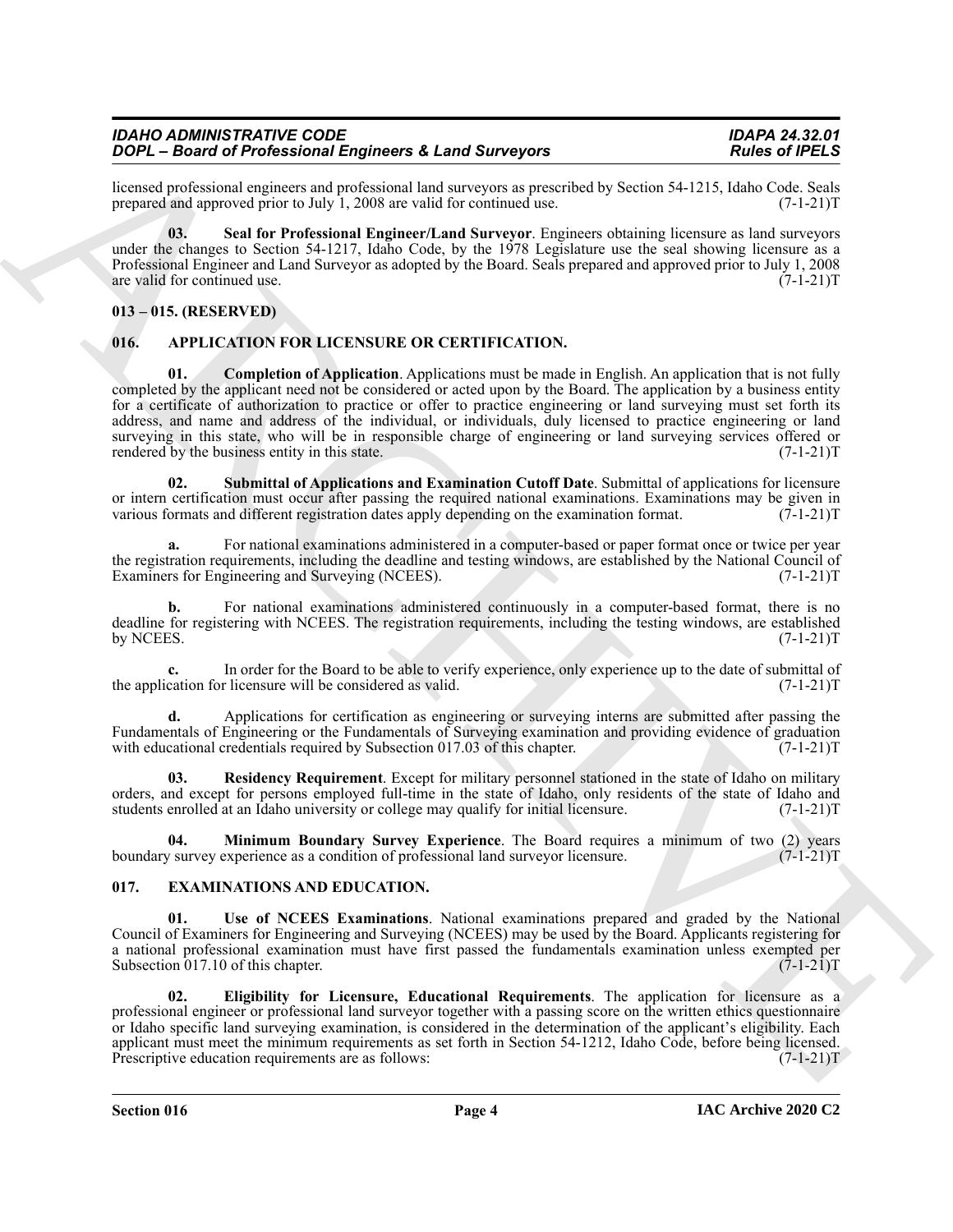licensed professional engineers and professional land surveyors as prescribed by Section 54-1215, Idaho Code. Seals<br>prepared and approved prior to July 1, 2008 are valid for continued use. (7-1-21) prepared and approved prior to July  $1, 2008$  are valid for continued use.

<span id="page-3-11"></span>**03. Seal for Professional Engineer/Land Surveyor**. Engineers obtaining licensure as land surveyors under the changes to Section 54-1217, Idaho Code, by the 1978 Legislature use the seal showing licensure as a Professional Engineer and Land Surveyor as adopted by the Board. Seals prepared and approved prior to July 1, 2008 are valid for continued use.

# <span id="page-3-0"></span>**013 – 015. (RESERVED)**

# <span id="page-3-4"></span><span id="page-3-3"></span><span id="page-3-1"></span>**016. APPLICATION FOR LICENSURE OR CERTIFICATION.**

**FOOP - Bione of Professional Engineeria 4.1 and Surveyor p.m.s.co.s.** Route Scholars (Footballs and Theoretical Scholars (Footballs and the state of the state of the state of the state of the state of the state of the st **01. Completion of Application**. Applications must be made in English. An application that is not fully completed by the applicant need not be considered or acted upon by the Board. The application by a business entity for a certificate of authorization to practice or offer to practice engineering or land surveying must set forth its address, and name and address of the individual, or individuals, duly licensed to practice engineering or land surveying in this state, who will be in responsible charge of engineering or land surveying services offered or rendered by the business entity in this state. rendered by the business entity in this state.

<span id="page-3-7"></span>**02. Submittal of Applications and Examination Cutoff Date**. Submittal of applications for licensure or intern certification must occur after passing the required national examinations. Examinations may be given in various formats and different registration dates apply depending on the examination format. (7-1-21)T various formats and different registration dates apply depending on the examination format.

**a.** For national examinations administered in a computer-based or paper format once or twice per year the registration requirements, including the deadline and testing windows, are established by the National Council of Examiners for Engineering and Surveying (NCEES). (7-1-21)T

**b.** For national examinations administered continuously in a computer-based format, there is no deadline for registering with NCEES. The registration requirements, including the testing windows, are established<br>(7-1-21)T by NCEES.  $(7-1-21)T$ 

**c.** In order for the Board to be able to verify experience, only experience up to the date of submittal of cation for licensure will be considered as valid. (7-1-21)<sup>T</sup> the application for licensure will be considered as valid.

**d.** Applications for certification as engineering or surveying interns are submitted after passing the Fundamentals of Engineering or the Fundamentals of Surveying examination and providing evidence of graduation with educational credentials required by Subsection 017.03 of this chapter. (7-1-21) with educational credentials required by Subsection  $017.03$  of this chapter.

<span id="page-3-6"></span>**03. Residency Requirement**. Except for military personnel stationed in the state of Idaho on military orders, and except for persons employed full-time in the state of Idaho, only residents of the state of Idaho and students enrolled at an Idaho university or college may qualify for initial licensure. (7-1-21)T

<span id="page-3-5"></span>**04. Minimum Boundary Survey Experience**. The Board requires a minimum of two (2) years v survey experience as a condition of professional land surveyor licensure. (7-1-21) boundary survey experience as a condition of professional land surveyor licensure.

# <span id="page-3-8"></span><span id="page-3-2"></span>**017. EXAMINATIONS AND EDUCATION.**

<span id="page-3-10"></span>**01. Use of NCEES Examinations**. National examinations prepared and graded by the National Council of Examiners for Engineering and Surveying (NCEES) may be used by the Board. Applicants registering for a national professional examination must have first passed the fundamentals examination unless exempted per Subsection 017.10 of this chapter. (7-1-21) Subsection 017.10 of this chapter.

<span id="page-3-9"></span>**02. Eligibility for Licensure, Educational Requirements**. The application for licensure as a professional engineer or professional land surveyor together with a passing score on the written ethics questionnaire or Idaho specific land surveying examination, is considered in the determination of the applicant's eligibility. Each applicant must meet the minimum requirements as set forth in Section 54-1212, Idaho Code, before being licensed.<br>Prescriptive education requirements are as follows: (7-1-21) Prescriptive education requirements are as follows: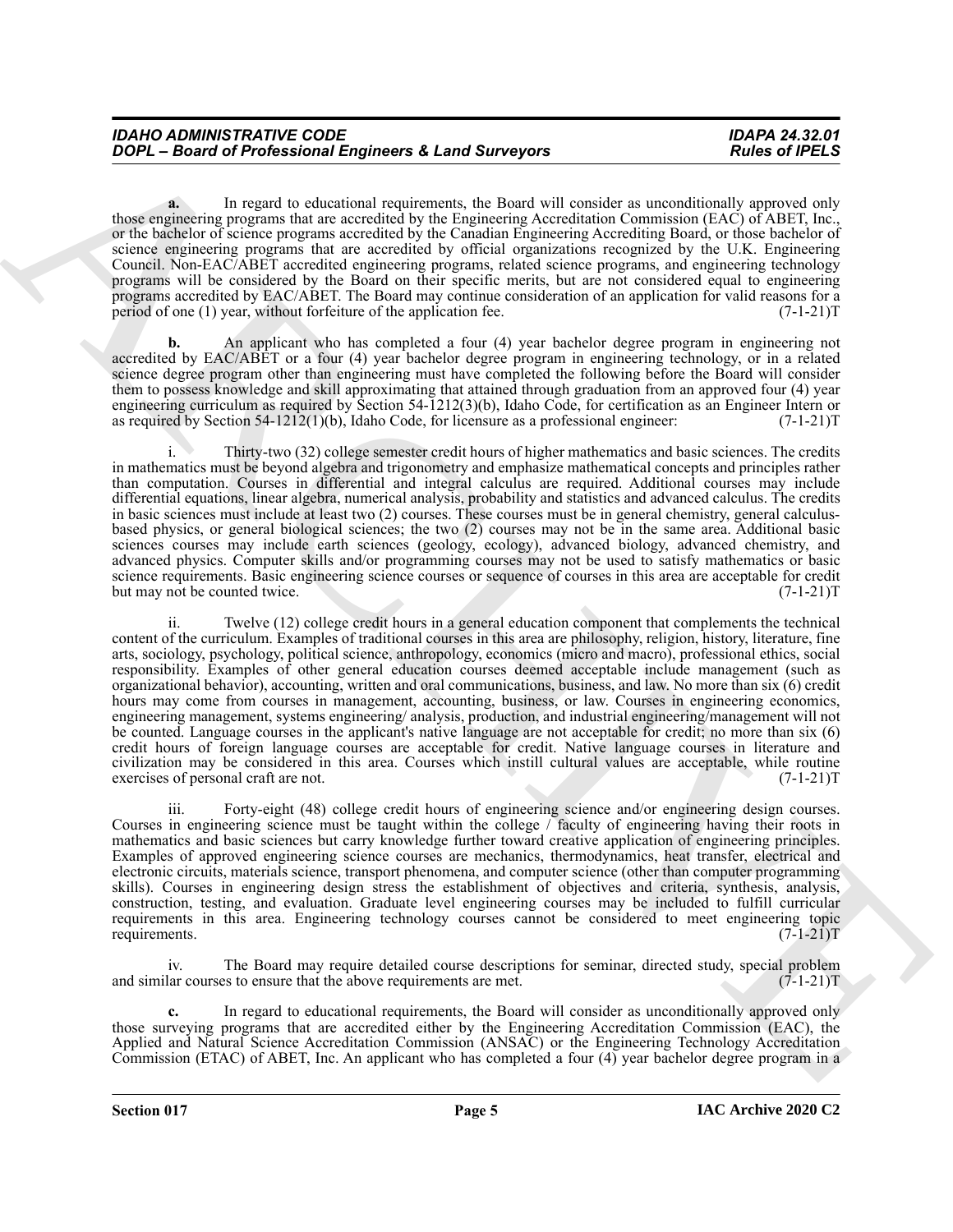**a.** In regard to educational requirements, the Board will consider as unconditionally approved only those engineering programs that are accredited by the Engineering Accreditation Commission (EAC) of ABET, Inc., or the bachelor of science programs accredited by the Canadian Engineering Accrediting Board, or those bachelor of science engineering programs that are accredited by official organizations recognized by the U.K. Engineering Council. Non-EAC/ABET accredited engineering programs, related science programs, and engineering technology programs will be considered by the Board on their specific merits, but are not considered equal to engineering programs accredited by EAC/ABET. The Board may continue consideration of an application for valid reasons for a period of one (1) year, without forfeiture of the application fee.  $(7-1-21)$ T

**b.** An applicant who has completed a four (4) year bachelor degree program in engineering not accredited by EAC/ABET or a four (4) year bachelor degree program in engineering technology, or in a related science degree program other than engineering must have completed the following before the Board will consider them to possess knowledge and skill approximating that attained through graduation from an approved four (4) year engineering curriculum as required by Section 54-1212(3)(b), Idaho Code, for certification as an Engineer Intern or<br>as required by Section 54-1212(1)(b), Idaho Code, for licensure as a professional engineer: (7-1-21)T as required by Section  $54-1212(1)(b)$ , Idaho Code, for licensure as a professional engineer:

i. Thirty-two (32) college semester credit hours of higher mathematics and basic sciences. The credits in mathematics must be beyond algebra and trigonometry and emphasize mathematical concepts and principles rather than computation. Courses in differential and integral calculus are required. Additional courses may include differential equations, linear algebra, numerical analysis, probability and statistics and advanced calculus. The credits in basic sciences must include at least two (2) courses. These courses must be in general chemistry, general calculusbased physics, or general biological sciences; the two (2) courses may not be in the same area. Additional basic sciences courses may include earth sciences (geology, ecology), advanced biology, advanced chemistry, and advanced physics. Computer skills and/or programming courses may not be used to satisfy mathematics or basic science requirements. Basic engineering science courses or sequence of courses in this area are acceptable for credit<br>but may not be counted twice. (7-1-21)T but may not be counted twice.

**FORD**  $\sim$  **Board of Professional Engineers 4. Land Surveyors Roles of REIS control in the state of REIS control in the Reis of Reis control in the State of Reis control in the State of Reis control in the State of Reis co** ii. Twelve (12) college credit hours in a general education component that complements the technical content of the curriculum. Examples of traditional courses in this area are philosophy, religion, history, literature, fine arts, sociology, psychology, political science, anthropology, economics (micro and macro), professional ethics, social responsibility. Examples of other general education courses deemed acceptable include management (such as organizational behavior), accounting, written and oral communications, business, and law. No more than six (6) credit hours may come from courses in management, accounting, business, or law. Courses in engineering economics, engineering management, systems engineering/ analysis, production, and industrial engineering/management will not be counted. Language courses in the applicant's native language are not acceptable for credit; no more than six (6) credit hours of foreign language courses are acceptable for credit. Native language courses in literature and civilization may be considered in this area. Courses which instill cultural values are acceptable, while routine exercises of personal craft are not. (7-1-21)T

iii. Forty-eight (48) college credit hours of engineering science and/or engineering design courses. Courses in engineering science must be taught within the college / faculty of engineering having their roots in mathematics and basic sciences but carry knowledge further toward creative application of engineering principles. Examples of approved engineering science courses are mechanics, thermodynamics, heat transfer, electrical and electronic circuits, materials science, transport phenomena, and computer science (other than computer programming skills). Courses in engineering design stress the establishment of objectives and criteria, synthesis, analysis, construction, testing, and evaluation. Graduate level engineering courses may be included to fulfill curricular requirements in this area. Engineering technology courses cannot be considered to meet engineering topic requirements. (7-1-21)T requirements.  $(7-1-21)T$ 

iv. The Board may require detailed course descriptions for seminar, directed study, special problem and similar courses to ensure that the above requirements are met.  $(7-1-21)$ T

**c.** In regard to educational requirements, the Board will consider as unconditionally approved only those surveying programs that are accredited either by the Engineering Accreditation Commission (EAC), the Applied and Natural Science Accreditation Commission (ANSAC) or the Engineering Technology Accreditation Commission (ETAC) of ABET, Inc. An applicant who has completed a four (4) year bachelor degree program in a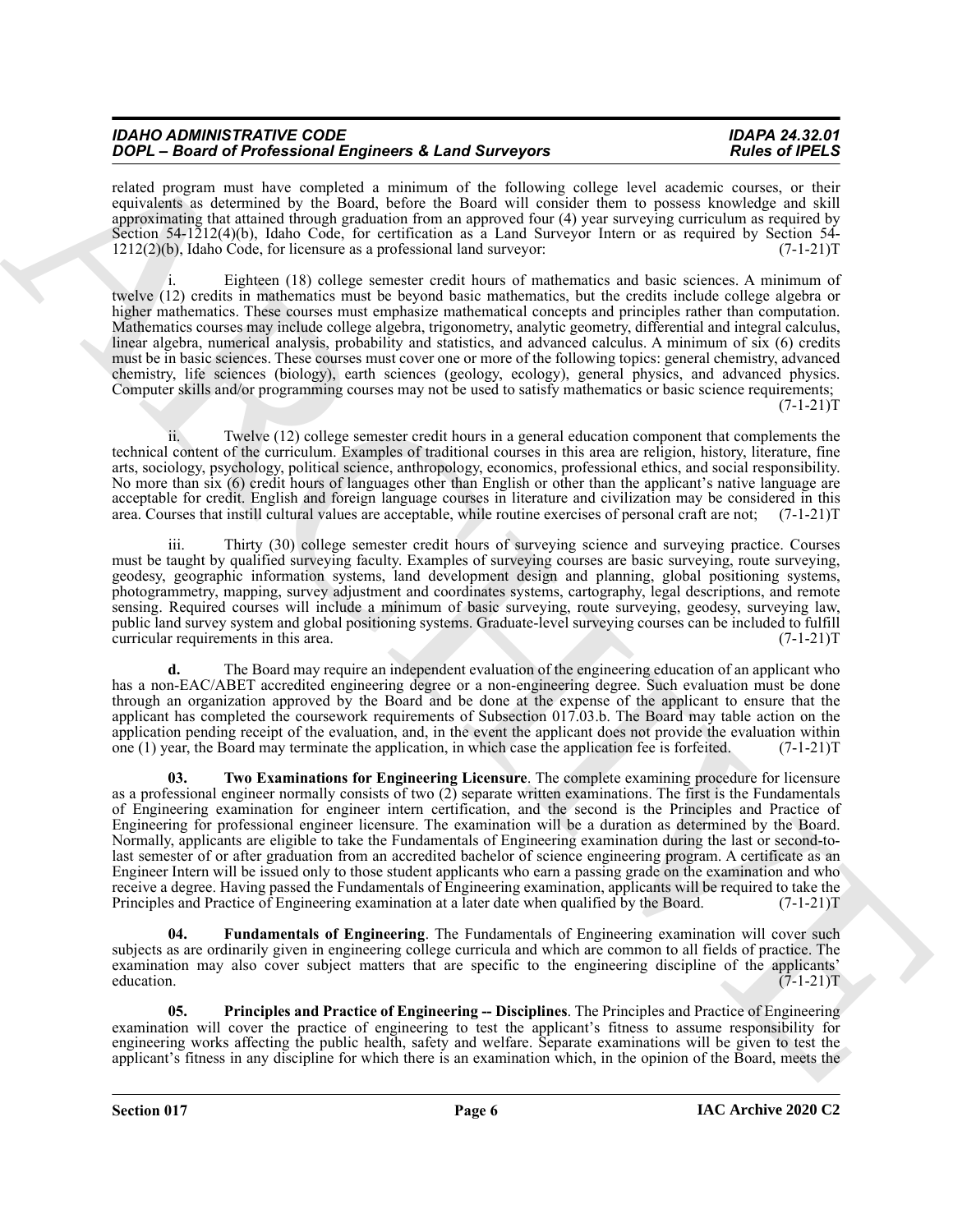| IDAHO ADMINISTRATIVE CODE                               | <b>IDAPA 24.32.01</b> |
|---------------------------------------------------------|-----------------------|
| DOPL - Board of Professional Engineers & Land Surveyors | <b>Rules of IPELS</b> |

related program must have completed a minimum of the following college level academic courses, or their equivalents as determined by the Board, before the Board will consider them to possess knowledge and skill approximating that attained through graduation from an approved four (4) year surveying curriculum as required by Section 54-1212(4)(b), Idaho Code, for certification as a Land Surveyor Intern or as required by Section 54-1212(2)(b), Idaho Code, for licensure as a professional land surveyor: (7-1-21)T

Eighteen (18) college semester credit hours of mathematics and basic sciences. A minimum of twelve (12) credits in mathematics must be beyond basic mathematics, but the credits include college algebra or higher mathematics. These courses must emphasize mathematical concepts and principles rather than computation. Mathematics courses may include college algebra, trigonometry, analytic geometry, differential and integral calculus, linear algebra, numerical analysis, probability and statistics, and advanced calculus. A minimum of six (6) credits must be in basic sciences. These courses must cover one or more of the following topics: general chemistry, advanced chemistry, life sciences (biology), earth sciences (geology, ecology), general physics, and advanced physics. Computer skills and/or programming courses may not be used to satisfy mathematics or basic science requirements;  $(7-1-21)T$ 

ii. Twelve (12) college semester credit hours in a general education component that complements the technical content of the curriculum. Examples of traditional courses in this area are religion, history, literature, fine arts, sociology, psychology, political science, anthropology, economics, professional ethics, and social responsibility. No more than six (6) credit hours of languages other than English or other than the applicant's native language are acceptable for credit. English and foreign language courses in literature and civilization may be considered in this area. Courses that instill cultural values are acceptable, while routine exercises of personal craft are not; (7-1-21)T

Thirty (30) college semester credit hours of surveying science and surveying practice. Courses must be taught by qualified surveying faculty. Examples of surveying courses are basic surveying, route surveying, geodesy, geographic information systems, land development design and planning, global positioning systems, photogrammetry, mapping, survey adjustment and coordinates systems, cartography, legal descriptions, and remote sensing. Required courses will include a minimum of basic surveying, route surveying, geodesy, surveying law, public land survey system and global positioning systems. Graduate-level surveying courses can be included to fulfill curricular requirements in this area. (7-1-21) T

<span id="page-5-2"></span>**d.** The Board may require an independent evaluation of the engineering education of an applicant who has a non-EAC/ABET accredited engineering degree or a non-engineering degree. Such evaluation must be done through an organization approved by the Board and be done at the expense of the applicant to ensure that the applicant has completed the coursework requirements of Subsection 017.03.b. The Board may table action on the application pending receipt of the evaluation, and, in the event the applicant does not provide the evaluation within one (1) year, the Board may terminate the application, in which case the application fee is forfeited.  $(7-1-21)T$ 

**To be the first control of the since 16 and 26 are proposed and the since the since the since**  $R$  **and**  $R$  **are**  $R$  **and**  $R$  **are**  $R$  **and**  $R$  **are**  $R$  **and**  $R$  **are**  $R$  **and**  $R$  **are**  $R$  **and**  $R$  **are**  $R$  **and**  $R$  **are**  $R$  **and**  $R$  **ar 03. Two Examinations for Engineering Licensure**. The complete examining procedure for licensure as a professional engineer normally consists of two (2) separate written examinations. The first is the Fundamentals of Engineering examination for engineer intern certification, and the second is the Principles and Practice of Engineering for professional engineer licensure. The examination will be a duration as determined by the Board. Normally, applicants are eligible to take the Fundamentals of Engineering examination during the last or second-tolast semester of or after graduation from an accredited bachelor of science engineering program. A certificate as an Engineer Intern will be issued only to those student applicants who earn a passing grade on the examination and who receive a degree. Having passed the Fundamentals of Engineering examination, applicants will be required to take the Principles and Practice of Engineering examination at a later date when qualified by the Board. (7-1-21)T

<span id="page-5-0"></span>**04. Fundamentals of Engineering**. The Fundamentals of Engineering examination will cover such subjects as are ordinarily given in engineering college curricula and which are common to all fields of practice. The examination may also cover subject matters that are specific to the engineering discipline of the applicants' education.  $(7-1-21)T$ 

<span id="page-5-1"></span>**05. Principles and Practice of Engineering -- Disciplines**. The Principles and Practice of Engineering examination will cover the practice of engineering to test the applicant's fitness to assume responsibility for engineering works affecting the public health, safety and welfare. Separate examinations will be given to test the applicant's fitness in any discipline for which there is an examination which, in the opinion of the Board, meets the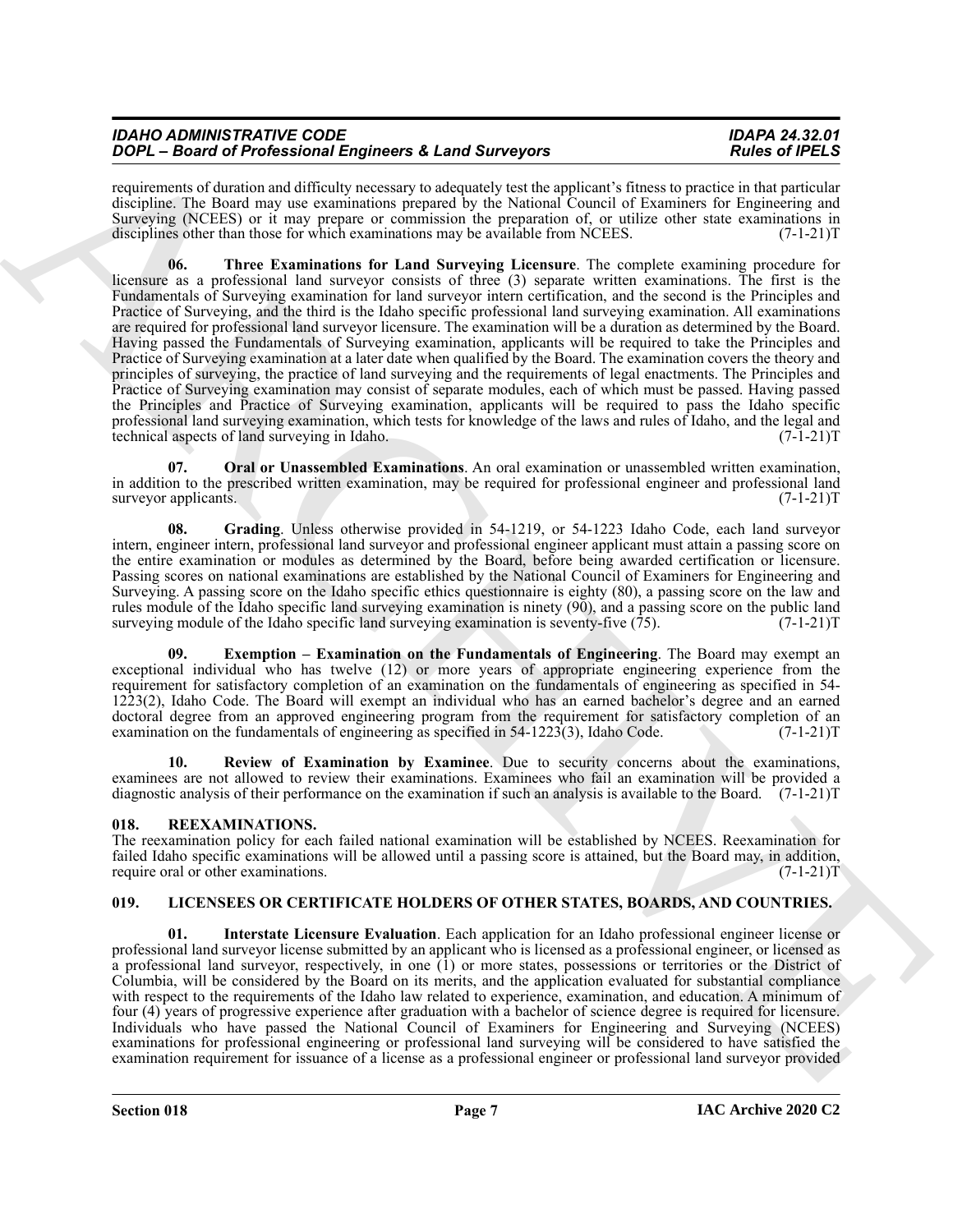| IDAHO ADMINISTRATIVE CODE                               | <b>IDAPA 24.32.01</b> |
|---------------------------------------------------------|-----------------------|
| DOPL - Board of Professional Engineers & Land Surveyors | <b>Rules of IPELS</b> |
|                                                         |                       |

<span id="page-6-6"></span>requirements of duration and difficulty necessary to adequately test the applicant's fitness to practice in that particular discipline. The Board may use examinations prepared by the National Council of Examiners for Engineering and Surveying (NCEES) or it may prepare or commission the preparation of, or utilize other state examinations in disciplines other than those for which examinations may be available from NCEES.  $(7-1-21)$ T

**To be the forest time and the state of a find of state signature of the state of the state of the state of the state of the state of the state of the state of the state of the state of the state of the state of the state 06. Three Examinations for Land Surveying Licensure**. The complete examining procedure for licensure as a professional land surveyor consists of three (3) separate written examinations. The first is the Fundamentals of Surveying examination for land surveyor intern certification, and the second is the Principles and Practice of Surveying, and the third is the Idaho specific professional land surveying examination. All examinations are required for professional land surveyor licensure. The examination will be a duration as determined by the Board. Having passed the Fundamentals of Surveying examination, applicants will be required to take the Principles and Practice of Surveying examination at a later date when qualified by the Board. The examination covers the theory and principles of surveying, the practice of land surveying and the requirements of legal enactments. The Principles and Practice of Surveying examination may consist of separate modules, each of which must be passed. Having passed the Principles and Practice of Surveying examination, applicants will be required to pass the Idaho specific professional land surveying examination, which tests for knowledge of the laws and rules of Idaho, and the legal and technical aspects of land surveying in Idaho. technical aspects of land surveying in Idaho.

<span id="page-6-4"></span>**Oral or Unassembled Examinations**. An oral examination or unassembled written examination, in addition to the prescribed written examination, may be required for professional engineer and professional land surveyor applicants. (7-1-21)T

<span id="page-6-3"></span>**08. Grading**. Unless otherwise provided in 54-1219, or 54-1223 Idaho Code, each land surveyor intern, engineer intern, professional land surveyor and professional engineer applicant must attain a passing score on the entire examination or modules as determined by the Board, before being awarded certification or licensure. Passing scores on national examinations are established by the National Council of Examiners for Engineering and Surveying. A passing score on the Idaho specific ethics questionnaire is eighty (80), a passing score on the law and rules module of the Idaho specific land surveying examination is ninety (90), and a passing score on the public land surveying module of the Idaho specific land surveying examination is seventy-five (75). (7-1-21) surveying module of the Idaho specific land surveying examination is seventy-five  $(75)$ .

<span id="page-6-2"></span>**Exemption – Examination on the Fundamentals of Engineering.** The Board may exempt an exceptional individual who has twelve (12) or more years of appropriate engineering experience from the requirement for satisfactory completion of an examination on the fundamentals of engineering as specified in 54- 1223(2), Idaho Code. The Board will exempt an individual who has an earned bachelor's degree and an earned doctoral degree from an approved engineering program from the requirement for satisfactory completion of an examination on the fundamentals of engineering as specified in 54-1223(3), Idaho Code. (7-1-21)T

<span id="page-6-5"></span>**10. Review of Examination by Examinee**. Due to security concerns about the examinations, examinees are not allowed to review their examinations. Examinees who fail an examination will be provided a diagnostic analysis of their performance on the examination if such an analysis is available to the Board. (7-1-21)T

# <span id="page-6-9"></span><span id="page-6-0"></span>**018. REEXAMINATIONS.**

The reexamination policy for each failed national examination will be established by NCEES. Reexamination for failed Idaho specific examinations will be allowed until a passing score is attained, but the Board may, in addition, require oral or other examinations. (7-1-21) require oral or other examinations.

# <span id="page-6-7"></span><span id="page-6-1"></span>**019. LICENSEES OR CERTIFICATE HOLDERS OF OTHER STATES, BOARDS, AND COUNTRIES.**

<span id="page-6-8"></span>**01. Interstate Licensure Evaluation**. Each application for an Idaho professional engineer license or professional land surveyor license submitted by an applicant who is licensed as a professional engineer, or licensed as a professional land surveyor, respectively, in one (1) or more states, possessions or territories or the District of Columbia, will be considered by the Board on its merits, and the application evaluated for substantial compliance with respect to the requirements of the Idaho law related to experience, examination, and education. A minimum of four (4) years of progressive experience after graduation with a bachelor of science degree is required for licensure. Individuals who have passed the National Council of Examiners for Engineering and Surveying (NCEES) examinations for professional engineering or professional land surveying will be considered to have satisfied the examination requirement for issuance of a license as a professional engineer or professional land surveyor provided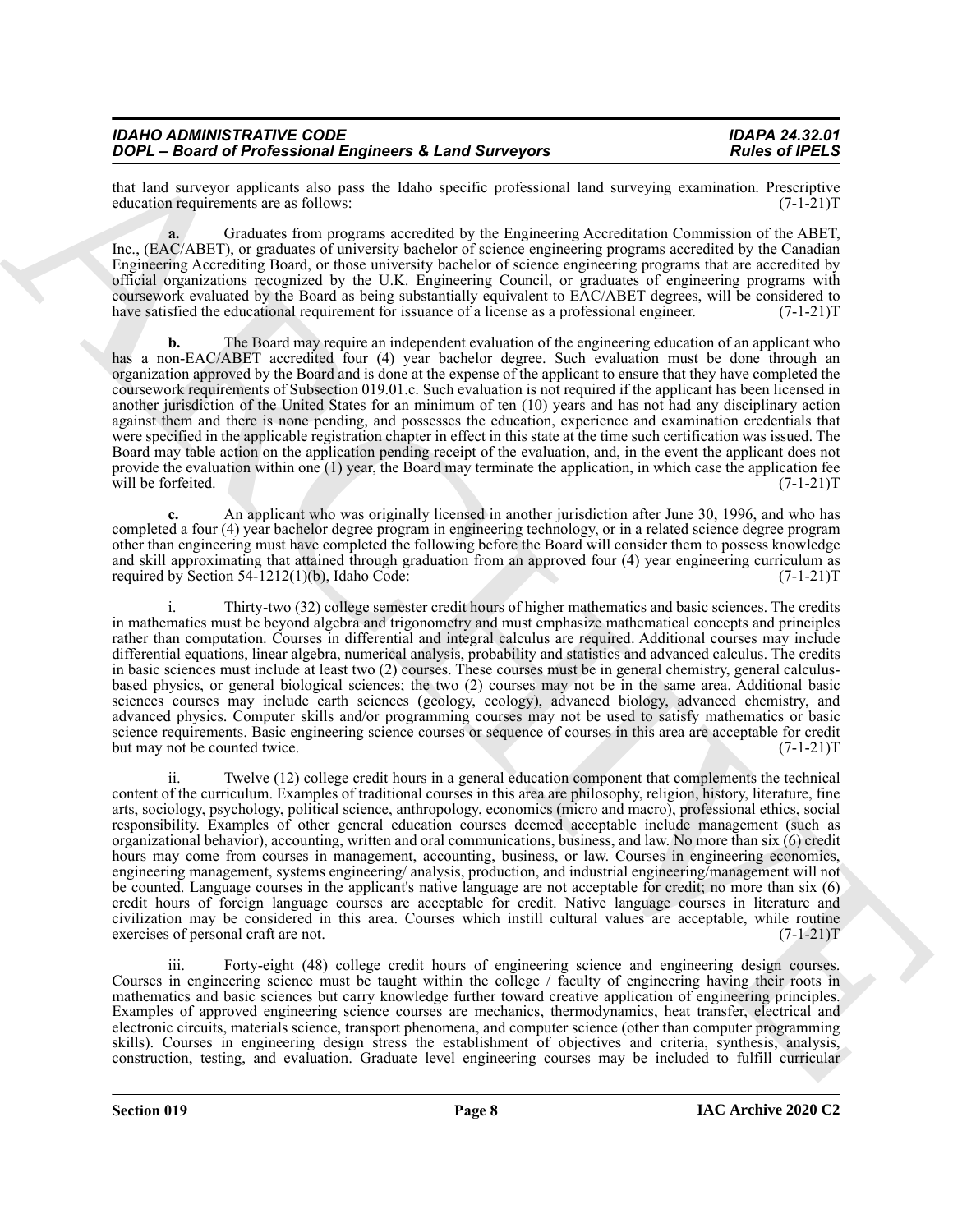| <b>IDAHO ADMINISTRATIVE CODE</b>                        |
|---------------------------------------------------------|
| DOPL - Board of Professional Engineers & Land Surveyors |

that land surveyor applicants also pass the Idaho specific professional land surveying examination. Prescriptive education requirements are as follows: (7-1-21) education requirements are as follows:

**a.** Graduates from programs accredited by the Engineering Accreditation Commission of the ABET, Inc., (EAC/ABET), or graduates of university bachelor of science engineering programs accredited by the Canadian Engineering Accrediting Board, or those university bachelor of science engineering programs that are accredited by official organizations recognized by the U.K. Engineering Council, or graduates of engineering programs with coursework evaluated by the Board as being substantially equivalent to EAC/ABET degrees, will be considered to have satisfied the educational requirement for issuance of a license as a professional engineer. (7-1-21)T

**b.** The Board may require an independent evaluation of the engineering education of an applicant who has a non-EAC/ABET accredited four (4) year bachelor degree. Such evaluation must be done through an organization approved by the Board and is done at the expense of the applicant to ensure that they have completed the coursework requirements of Subsection 019.01.c. Such evaluation is not required if the applicant has been licensed in another jurisdiction of the United States for an minimum of ten (10) years and has not had any disciplinary action against them and there is none pending, and possesses the education, experience and examination credentials that were specified in the applicable registration chapter in effect in this state at the time such certification was issued. The Board may table action on the application pending receipt of the evaluation, and, in the event the applicant does not provide the evaluation within one  $(1)$  year, the Board may terminate the application, in which case the application fee will be forfeited. (7-1-21) T

**c.** An applicant who was originally licensed in another jurisdiction after June 30, 1996, and who has completed a four (4) year bachelor degree program in engineering technology, or in a related science degree program other than engineering must have completed the following before the Board will consider them to possess knowledge and skill approximating that attained through graduation from an approved four (4) year engineering curriculum as required by Section 54-1212(1)(b), Idaho Code: required by Section  $54-1212(1)(b)$ , Idaho Code:

i. Thirty-two (32) college semester credit hours of higher mathematics and basic sciences. The credits in mathematics must be beyond algebra and trigonometry and must emphasize mathematical concepts and principles rather than computation. Courses in differential and integral calculus are required. Additional courses may include differential equations, linear algebra, numerical analysis, probability and statistics and advanced calculus. The credits in basic sciences must include at least two (2) courses. These courses must be in general chemistry, general calculusbased physics, or general biological sciences; the two (2) courses may not be in the same area. Additional basic sciences courses may include earth sciences (geology, ecology), advanced biology, advanced chemistry, and advanced physics. Computer skills and/or programming courses may not be used to satisfy mathematics or basic science requirements. Basic engineering science courses or sequence of courses in this area are acceptable for credit<br>(7-1-21)T but may not be counted twice.

For  $\vec{B}$  and  $\vec{B}$  for  $\vec{B}$  and  $\vec{B}$  and  $\vec{B}$  and  $\vec{B}$  and  $\vec{B}$  and  $\vec{B}$  and  $\vec{B}$  and  $\vec{B}$  and  $\vec{B}$  and  $\vec{B}$  and  $\vec{B}$  and  $\vec{B}$  and  $\vec{B}$  and  $\vec{B}$  and  $\vec{B}$  and  $\vec{B}$  and Twelve (12) college credit hours in a general education component that complements the technical content of the curriculum. Examples of traditional courses in this area are philosophy, religion, history, literature, fine arts, sociology, psychology, political science, anthropology, economics (micro and macro), professional ethics, social responsibility. Examples of other general education courses deemed acceptable include management (such as organizational behavior), accounting, written and oral communications, business, and law. No more than six (6) credit hours may come from courses in management, accounting, business, or law. Courses in engineering economics, engineering management, systems engineering/ analysis, production, and industrial engineering/management will not be counted. Language courses in the applicant's native language are not acceptable for credit; no more than six (6) credit hours of foreign language courses are acceptable for credit. Native language courses in literature and civilization may be considered in this area. Courses which instill cultural values are acceptable, while routine exercises of personal craft are not.

iii. Forty-eight (48) college credit hours of engineering science and engineering design courses. Courses in engineering science must be taught within the college / faculty of engineering having their roots in mathematics and basic sciences but carry knowledge further toward creative application of engineering principles. Examples of approved engineering science courses are mechanics, thermodynamics, heat transfer, electrical and electronic circuits, materials science, transport phenomena, and computer science (other than computer programming skills). Courses in engineering design stress the establishment of objectives and criteria, synthesis, analysis, construction, testing, and evaluation. Graduate level engineering courses may be included to fulfill curricular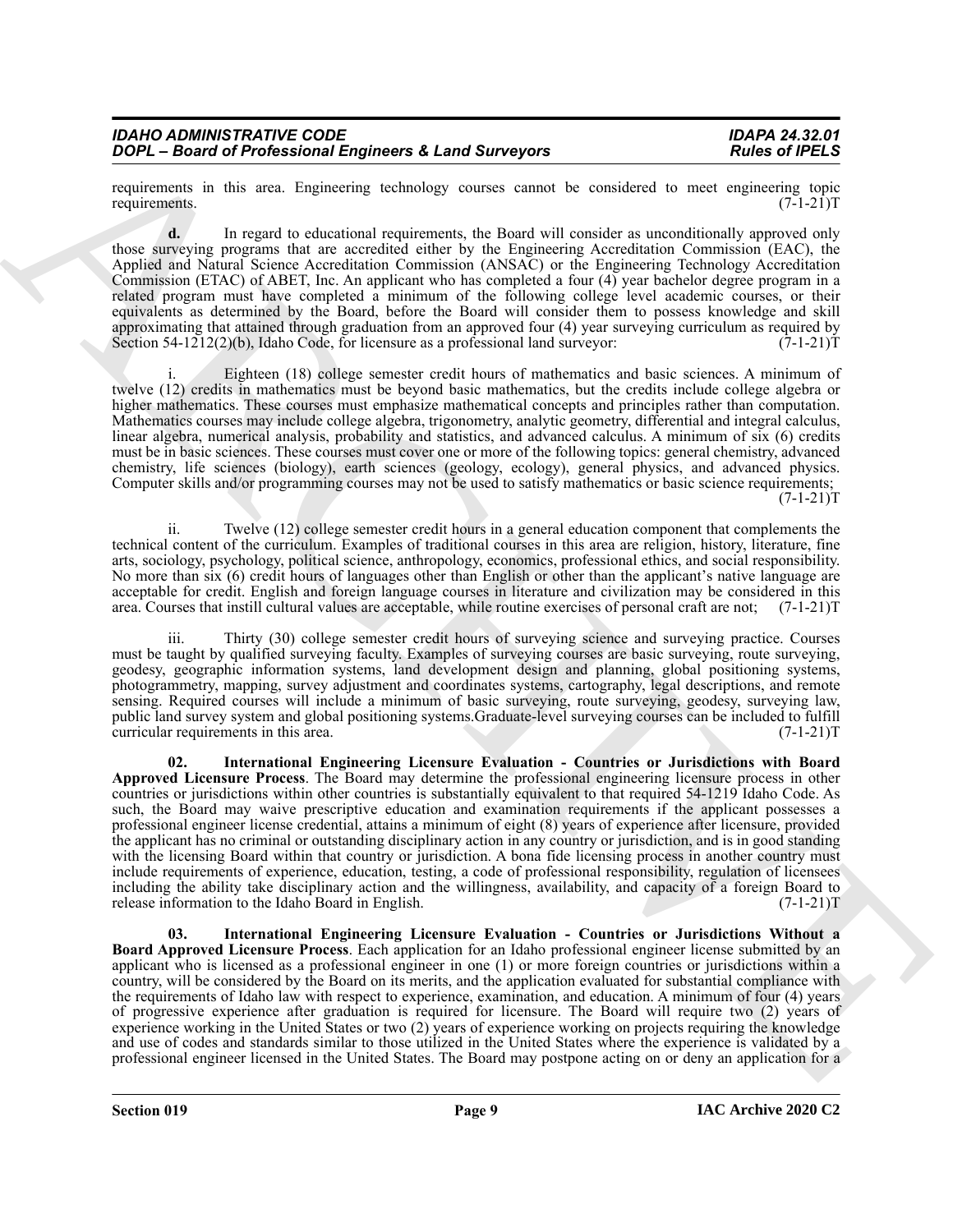| <b>IDAHO ADMINISTRATIVE CODE</b>                        |  |
|---------------------------------------------------------|--|
| DOPL - Board of Professional Engineers & Land Surveyors |  |

requirements in this area. Engineering technology courses cannot be considered to meet engineering topic requirements. (7-1-21)T requirements.  $(7-1-21)T$ 

**d.** In regard to educational requirements, the Board will consider as unconditionally approved only those surveying programs that are accredited either by the Engineering Accreditation Commission (EAC), the Applied and Natural Science Accreditation Commission (ANSAC) or the Engineering Technology Accreditation Commission (ETAC) of ABET, Inc. An applicant who has completed a four (4) year bachelor degree program in a related program must have completed a minimum of the following college level academic courses, or their equivalents as determined by the Board, before the Board will consider them to possess knowledge and skill approximating that attained through graduation from an approved four (4) year surveying curriculum as required by Section 54-1212(2)(b), Idaho Code, for licensure as a professional land surveyor:  $(7-1-21)$ T

Eighteen (18) college semester credit hours of mathematics and basic sciences. A minimum of twelve (12) credits in mathematics must be beyond basic mathematics, but the credits include college algebra or higher mathematics. These courses must emphasize mathematical concepts and principles rather than computation. Mathematics courses may include college algebra, trigonometry, analytic geometry, differential and integral calculus, linear algebra, numerical analysis, probability and statistics, and advanced calculus. A minimum of six (6) credits must be in basic sciences. These courses must cover one or more of the following topics: general chemistry, advanced chemistry, life sciences (biology), earth sciences (geology, ecology), general physics, and advanced physics. Computer skills and/or programming courses may not be used to satisfy mathematics or basic science requirements;  $(7-1-21)T$ 

ii. Twelve (12) college semester credit hours in a general education component that complements the technical content of the curriculum. Examples of traditional courses in this area are religion, history, literature, fine arts, sociology, psychology, political science, anthropology, economics, professional ethics, and social responsibility. No more than six (6) credit hours of languages other than English or other than the applicant's native language are acceptable for credit. English and foreign language courses in literature and civilization may be considered in this area. Courses that instill cultural values are acceptable, while routine exercises of personal craft are not; (7-1-21)T

<span id="page-8-0"></span>iii. Thirty (30) college semester credit hours of surveying science and surveying practice. Courses must be taught by qualified surveying faculty. Examples of surveying courses are basic surveying, route surveying, geodesy, geographic information systems, land development design and planning, global positioning systems, photogrammetry, mapping, survey adjustment and coordinates systems, cartography, legal descriptions, and remote sensing. Required courses will include a minimum of basic surveying, route surveying, geodesy, surveying law, public land survey system and global positioning systems.Graduate-level surveying courses can be included to fulfill curricular requirements in this area. (7-1-21)T

ZOOM – Based of Professional Empires n 4. Land Surveyors Roles of Religion Research 1988 (Secondary 1988)<br>
Successional Surveyors Religion Religion Religion Religion Religion Religion Religion Religion Religion Religion R **02. International Engineering Licensure Evaluation - Countries or Jurisdictions with Board Approved Licensure Process**. The Board may determine the professional engineering licensure process in other countries or jurisdictions within other countries is substantially equivalent to that required 54-1219 Idaho Code. As such, the Board may waive prescriptive education and examination requirements if the applicant possesses a professional engineer license credential, attains a minimum of eight (8) years of experience after licensure, provided the applicant has no criminal or outstanding disciplinary action in any country or jurisdiction, and is in good standing with the licensing Board within that country or jurisdiction. A bona fide licensing process in another country must include requirements of experience, education, testing, a code of professional responsibility, regulation of licensees including the ability take disciplinary action and the willingness, availability, and capacity of a foreign Board to release information to the Idaho Board in English. (7-1-21)T

<span id="page-8-1"></span>**03. International Engineering Licensure Evaluation - Countries or Jurisdictions Without a Board Approved Licensure Process**. Each application for an Idaho professional engineer license submitted by an applicant who is licensed as a professional engineer in one (1) or more foreign countries or jurisdictions within a country, will be considered by the Board on its merits, and the application evaluated for substantial compliance with the requirements of Idaho law with respect to experience, examination, and education. A minimum of four (4) years of progressive experience after graduation is required for licensure. The Board will require two (2) years of experience working in the United States or two (2) years of experience working on projects requiring the knowledge and use of codes and standards similar to those utilized in the United States where the experience is validated by a professional engineer licensed in the United States. The Board may postpone acting on or deny an application for a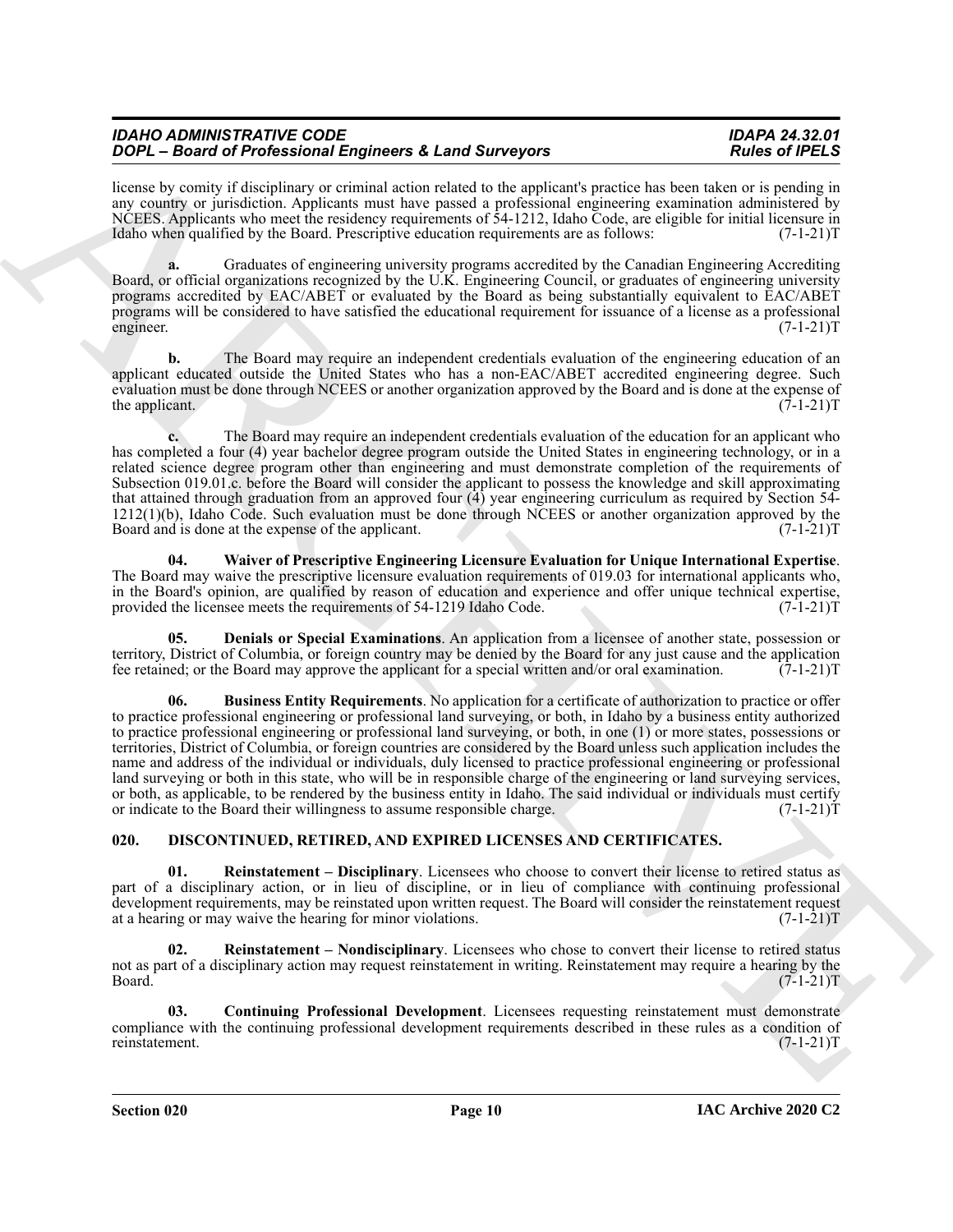| <b>IDAHO ADMINISTRATIVE CODE</b>                        |  |
|---------------------------------------------------------|--|
| DOPL - Board of Professional Engineers & Land Surveyors |  |

license by comity if disciplinary or criminal action related to the applicant's practice has been taken or is pending in any country or jurisdiction. Applicants must have passed a professional engineering examination administered by NCEES. Applicants who meet the residency requirements of 54-1212, Idaho Code, are eligible for initial licensure in Idaho when qualified by the Board. Prescriptive education requirements are as follows: (7-1-21)T

**a.** Graduates of engineering university programs accredited by the Canadian Engineering Accrediting Board, or official organizations recognized by the U.K. Engineering Council, or graduates of engineering university programs accredited by EAC/ABET or evaluated by the Board as being substantially equivalent to EAC/ABET programs will be considered to have satisfied the educational requirement for issuance of a license as a professional engineer. (7-1-21)T

**b.** The Board may require an independent credentials evaluation of the engineering education of an applicant educated outside the United States who has a non-EAC/ABET accredited engineering degree. Such evaluation must be done through NCEES or another organization approved by the Board and is done at the expense of the applicant.  $(7-1-21)T$ 

**c.** The Board may require an independent credentials evaluation of the education for an applicant who has completed a four (4) year bachelor degree program outside the United States in engineering technology, or in a related science degree program other than engineering and must demonstrate completion of the requirements of Subsection 019.01.c. before the Board will consider the applicant to possess the knowledge and skill approximating that attained through graduation from an approved four (4) year engineering curriculum as required by Section 54-  $1212(1)(b)$ , Idaho Code. Such evaluation must be done through NCEES or another organization approved by the Board and is done at the expense of the applicant. (7-1-21) Board and is done at the expense of the applicant.

<span id="page-9-7"></span>**04. Waiver of Prescriptive Engineering Licensure Evaluation for Unique International Expertise**. The Board may waive the prescriptive licensure evaluation requirements of 019.03 for international applicants who, in the Board's opinion, are qualified by reason of education and experience and offer unique technical expertise, provided the licensee meets the requirements of 54-1219 Idaho Code. (7-1-21) provided the licensee meets the requirements of 54-1219 Idaho Code.

<span id="page-9-6"></span><span id="page-9-5"></span>**05. Denials or Special Examinations**. An application from a licensee of another state, possession or territory, District of Columbia, or foreign country may be denied by the Board for any just cause and the application fee retained; or the Board may approve the applicant for a special written and/or oral examination. (7-1-21)T

**To be the signal of the formula control in the signal of the signal of the signal of the signal of the signal of the signal of the signal of the signal of the signal of the signal of the signal of the signal of the signa 06. Business Entity Requirements**. No application for a certificate of authorization to practice or offer to practice professional engineering or professional land surveying, or both, in Idaho by a business entity authorized to practice professional engineering or professional land surveying, or both, in one (1) or more states, possessions or territories, District of Columbia, or foreign countries are considered by the Board unless such application includes the name and address of the individual or individuals, duly licensed to practice professional engineering or professional land surveying or both in this state, who will be in responsible charge of the engineering or land surveying services, or both, as applicable, to be rendered by the business entity in Idaho. The said individual or individuals must certify or indicate to the Board their willingness to assume responsible charge. (7-1-21)T

# <span id="page-9-1"></span><span id="page-9-0"></span>**020. DISCONTINUED, RETIRED, AND EXPIRED LICENSES AND CERTIFICATES.**

<span id="page-9-3"></span>**01. Reinstatement – Disciplinary**. Licensees who choose to convert their license to retired status as part of a disciplinary action, or in lieu of discipline, or in lieu of compliance with continuing professional development requirements, may be reinstated upon written request. The Board will consider the reinstatement request at a hearing or may waive the hearing for minor violations. (7-1-21)T

<span id="page-9-4"></span>**02. Reinstatement – Nondisciplinary**. Licensees who chose to convert their license to retired status not as part of a disciplinary action may request reinstatement in writing. Reinstatement may require a hearing by the  $Board.$  (7-1-21) $T$ 

<span id="page-9-2"></span>**03. Continuing Professional Development**. Licensees requesting reinstatement must demonstrate compliance with the continuing professional development requirements described in these rules as a condition of reinstatement. (7-1-21)T reinstatement.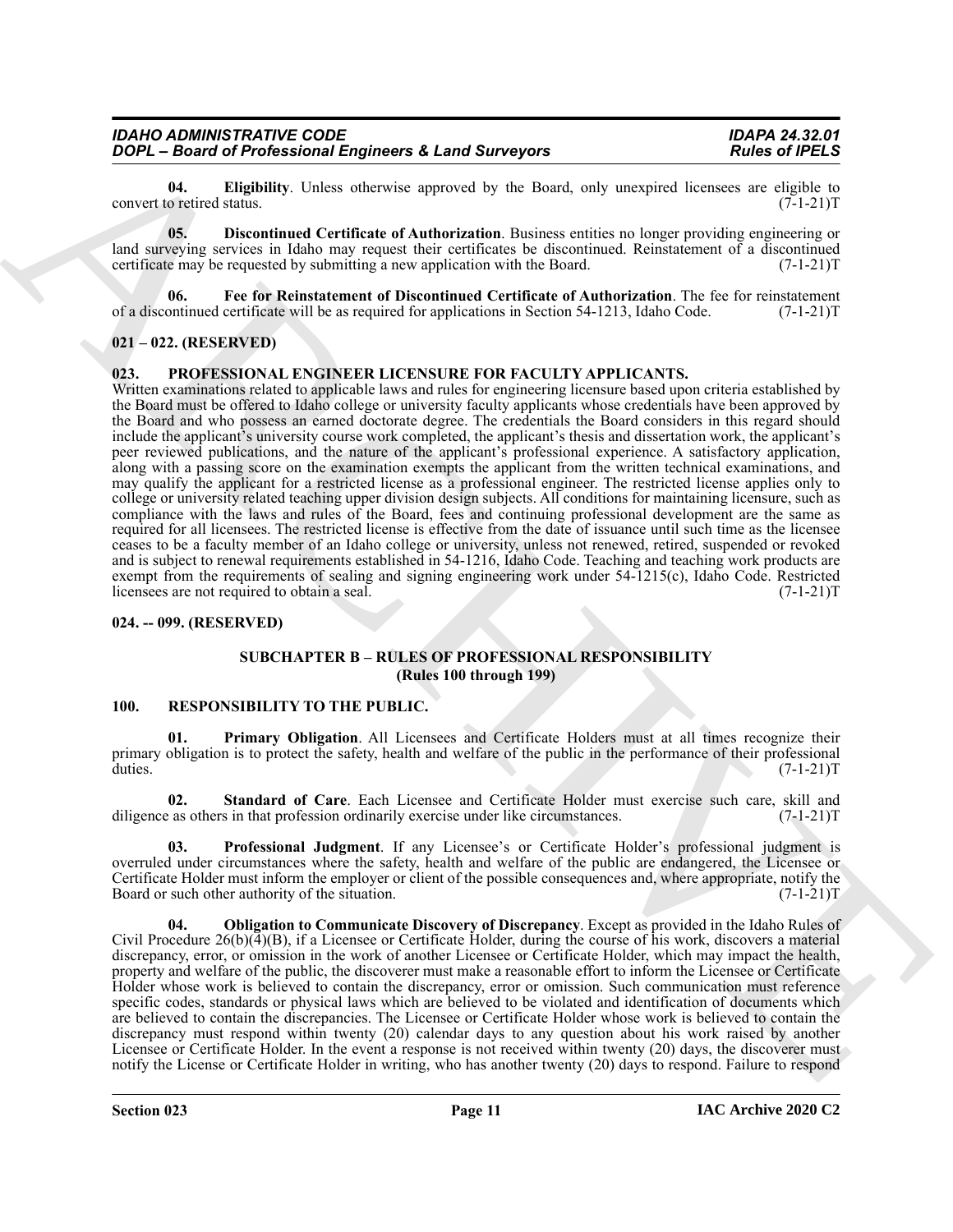<span id="page-10-6"></span>**04. Eligibility**. Unless otherwise approved by the Board, only unexpired licensees are eligible to o retired status. (7-1-21) convert to retired status.

<span id="page-10-5"></span>**05. Discontinued Certificate of Authorization**. Business entities no longer providing engineering or land surveying services in Idaho may request their certificates be discontinued. Reinstatement of a discontinued certificate may be requested by submitting a new application with the Board. (7-1-21) certificate may be requested by submitting a new application with the Board.

<span id="page-10-7"></span>**06. Fee for Reinstatement of Discontinued Certificate of Authorization**. The fee for reinstatement of a discontinued certificate will be as required for applications in Section 54-1213, Idaho Code. (7-1-21)T

# <span id="page-10-0"></span>**021 – 022. (RESERVED)**

#### <span id="page-10-8"></span><span id="page-10-1"></span>**023. PROFESSIONAL ENGINEER LICENSURE FOR FACULTY APPLICANTS.**

**FORCESS CONSULTER CONSULTER ACTION** the space of the space of the space of the space of the space of the space of the space of the space of the space of the space of the space of the space of the space of the space of th Written examinations related to applicable laws and rules for engineering licensure based upon criteria established by the Board must be offered to Idaho college or university faculty applicants whose credentials have been approved by the Board and who possess an earned doctorate degree. The credentials the Board considers in this regard should include the applicant's university course work completed, the applicant's thesis and dissertation work, the applicant's peer reviewed publications, and the nature of the applicant's professional experience. A satisfactory application, along with a passing score on the examination exempts the applicant from the written technical examinations, and may qualify the applicant for a restricted license as a professional engineer. The restricted license applies only to college or university related teaching upper division design subjects. All conditions for maintaining licensure, such as compliance with the laws and rules of the Board, fees and continuing professional development are the same as required for all licensees. The restricted license is effective from the date of issuance until such time as the licensee ceases to be a faculty member of an Idaho college or university, unless not renewed, retired, suspended or revoked and is subject to renewal requirements established in 54-1216, Idaho Code. Teaching and teaching work products are exempt from the requirements of sealing and signing engineering work under 54-1215(c), Idaho Code. Restricted licensees are not required to obtain a seal. (7-1-21) licensees are not required to obtain a seal.

#### <span id="page-10-3"></span><span id="page-10-2"></span>**024. -- 099. (RESERVED)**

# <span id="page-10-11"></span>**SUBCHAPTER B – RULES OF PROFESSIONAL RESPONSIBILITY (Rules 100 through 199)**

#### <span id="page-10-9"></span><span id="page-10-4"></span>**100. RESPONSIBILITY TO THE PUBLIC.**

**01. Primary Obligation**. All Licensees and Certificate Holders must at all times recognize their primary obligation is to protect the safety, health and welfare of the public in the performance of their professional duties. (7-1-21)T duties. (7-1-21)T

<span id="page-10-13"></span>**02. Standard of Care**. Each Licensee and Certificate Holder must exercise such care, skill and diligence as others in that profession ordinarily exercise under like circumstances. (7-1-21)T

<span id="page-10-12"></span>**03. Professional Judgment**. If any Licensee's or Certificate Holder's professional judgment is overruled under circumstances where the safety, health and welfare of the public are endangered, the Licensee or Certificate Holder must inform the employer or client of the possible consequences and, where appropriate, notify the Board or such other authority of the situation. (7-1-21)T

<span id="page-10-10"></span>**04. Obligation to Communicate Discovery of Discrepancy**. Except as provided in the Idaho Rules of Civil Procedure  $26(b)(4)(B)$ , if a Licensee or Certificate Holder, during the course of his work, discovers a material discrepancy, error, or omission in the work of another Licensee or Certificate Holder, which may impact the health, property and welfare of the public, the discoverer must make a reasonable effort to inform the Licensee or Certificate Holder whose work is believed to contain the discrepancy, error or omission. Such communication must reference specific codes, standards or physical laws which are believed to be violated and identification of documents which are believed to contain the discrepancies. The Licensee or Certificate Holder whose work is believed to contain the discrepancy must respond within twenty (20) calendar days to any question about his work raised by another Licensee or Certificate Holder. In the event a response is not received within twenty (20) days, the discoverer must notify the License or Certificate Holder in writing, who has another twenty (20) days to respond. Failure to respond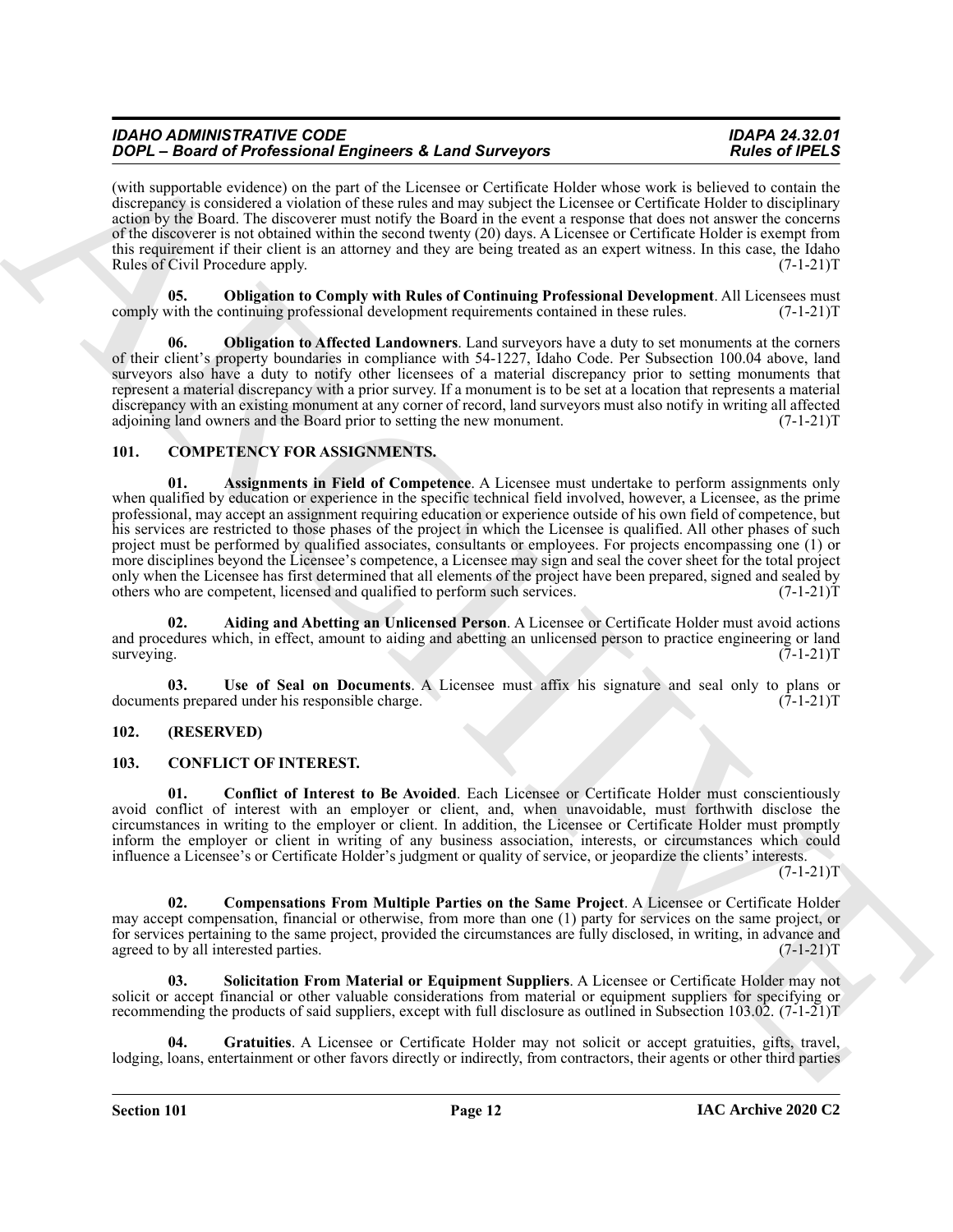(with supportable evidence) on the part of the Licensee or Certificate Holder whose work is believed to contain the discrepancy is considered a violation of these rules and may subject the Licensee or Certificate Holder to disciplinary action by the Board. The discoverer must notify the Board in the event a response that does not answer the concerns of the discoverer is not obtained within the second twenty (20) days. A Licensee or Certificate Holder is exempt from this requirement if their client is an attorney and they are being treated as an expert witness. In this case, the Idaho Rules of Civil Procedure apply. (7-1-21)T

<span id="page-11-13"></span>**05. Obligation to Comply with Rules of Continuing Professional Development**. All Licensees must comply with the continuing professional development requirements contained in these rules. (7-1-21)T

<span id="page-11-12"></span>**06. Obligation to Affected Landowners**. Land surveyors have a duty to set monuments at the corners of their client's property boundaries in compliance with 54-1227, Idaho Code. Per Subsection 100.04 above, land surveyors also have a duty to notify other licensees of a material discrepancy prior to setting monuments that represent a material discrepancy with a prior survey. If a monument is to be set at a location that represents a material discrepancy with an existing monument at any corner of record, land surveyors must also notify in writing all affected adjoining land owners and the Board prior to setting the new monument. (7-1-21) adjoining land owners and the Board prior to setting the new monument.

# <span id="page-11-5"></span><span id="page-11-3"></span><span id="page-11-0"></span>**101. COMPETENCY FOR ASSIGNMENTS.**

**ZOOY** - Based of Reference in the state of the state of the state of the state of the state of the state of the state of the state of the state of the state of the state of the state of the state of the state of the stat **01. Assignments in Field of Competence**. A Licensee must undertake to perform assignments only when qualified by education or experience in the specific technical field involved, however, a Licensee, as the prime professional, may accept an assignment requiring education or experience outside of his own field of competence, but his services are restricted to those phases of the project in which the Licensee is qualified. All other phases of such project must be performed by qualified associates, consultants or employees. For projects encompassing one (1) or more disciplines beyond the Licensee's competence, a Licensee may sign and seal the cover sheet for the total project only when the Licensee has first determined that all elements of the project have been prepared, signed and sealed by others who are competent, licensed and qualified to perform such services. (7-1-21) others who are competent, licensed and qualified to perform such services.

<span id="page-11-4"></span>**02. Aiding and Abetting an Unlicensed Person**. A Licensee or Certificate Holder must avoid actions and procedures which, in effect, amount to aiding and abetting an unlicensed person to practice engineering or land surveying. (7-1-21)T surveying. (7-1-21)T

<span id="page-11-6"></span>**03. Use of Seal on Documents**. A Licensee must affix his signature and seal only to plans or documents prepared under his responsible charge. (7-1-21)T

# <span id="page-11-1"></span>**102. (RESERVED)**

# <span id="page-11-9"></span><span id="page-11-7"></span><span id="page-11-2"></span>**103. CONFLICT OF INTEREST.**

**01. Conflict of Interest to Be Avoided**. Each Licensee or Certificate Holder must conscientiously avoid conflict of interest with an employer or client, and, when unavoidable, must forthwith disclose the circumstances in writing to the employer or client. In addition, the Licensee or Certificate Holder must promptly inform the employer or client in writing of any business association, interests, or circumstances which could influence a Licensee's or Certificate Holder's judgment or quality of service, or jeopardize the clients' interests.

 $(7-1-21)T$ 

<span id="page-11-8"></span>**02. Compensations From Multiple Parties on the Same Project**. A Licensee or Certificate Holder may accept compensation, financial or otherwise, from more than one (1) party for services on the same project, or for services pertaining to the same project, provided the circumstances are fully disclosed, in writing, in advance and agreed to by all interested parties. (7-1-21) agreed to by all interested parties.

<span id="page-11-11"></span>**03. Solicitation From Material or Equipment Suppliers**. A Licensee or Certificate Holder may not solicit or accept financial or other valuable considerations from material or equipment suppliers for specifying or recommending the products of said suppliers, except with full disclosure as outlined in Subsection 103.02. (7-1-21)T

<span id="page-11-10"></span>**04. Gratuities**. A Licensee or Certificate Holder may not solicit or accept gratuities, gifts, travel, lodging, loans, entertainment or other favors directly or indirectly, from contractors, their agents or other third parties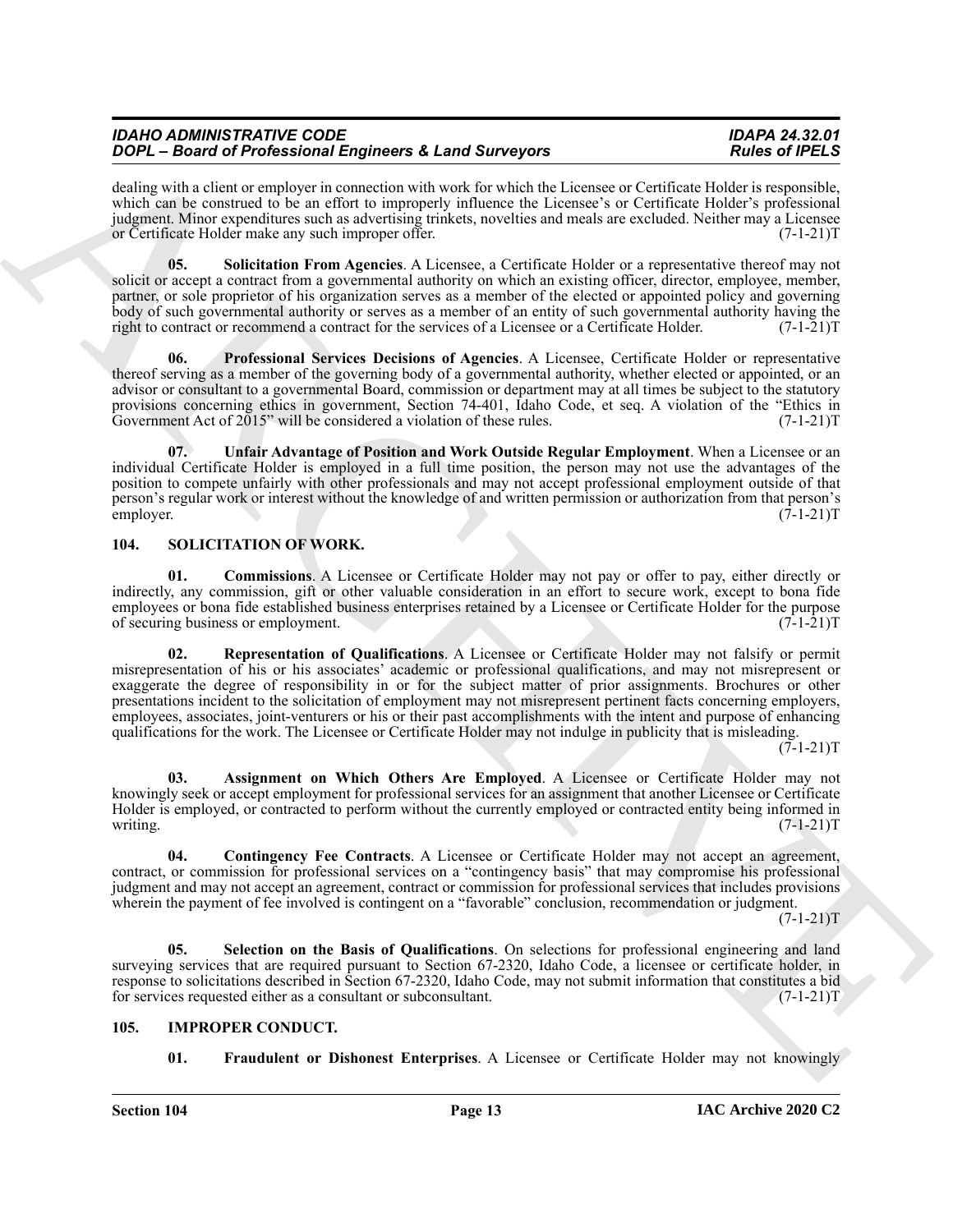dealing with a client or employer in connection with work for which the Licensee or Certificate Holder is responsible, which can be construed to be an effort to improperly influence the Licensee's or Certificate Holder's professional judgment. Minor expenditures such as advertising trinkets, novelties and meals are excluded. Neither may a Licensee or Certificate Holder make any such improper offer.

<span id="page-12-3"></span>**05. Solicitation From Agencies**. A Licensee, a Certificate Holder or a representative thereof may not solicit or accept a contract from a governmental authority on which an existing officer, director, employee, member, partner, or sole proprietor of his organization serves as a member of the elected or appointed policy and governing body of such governmental authority or serves as a member of an entity of such governmental authority having the right to contract or recommend a contract for the services of a Licensee or a Certificate Holder. (7-1-21)T

<span id="page-12-2"></span>**06. Professional Services Decisions of Agencies**. A Licensee, Certificate Holder or representative thereof serving as a member of the governing body of a governmental authority, whether elected or appointed, or an advisor or consultant to a governmental Board, commission or department may at all times be subject to the statutory provisions concerning ethics in government, Section 74-401, Idaho Code, et seq. A violation of the "Ethics in Government Act of 2015" will be considered a violation of these rules. (7-1-21) Government Act of  $2015$ " will be considered a violation of these rules.

<span id="page-12-4"></span>**07. Unfair Advantage of Position and Work Outside Regular Employment**. When a Licensee or an individual Certificate Holder is employed in a full time position, the person may not use the advantages of the position to compete unfairly with other professionals and may not accept professional employment outside of that person's regular work or interest without the knowledge of and written permission or authorization from that person's employer. (7-1-21)T

# <span id="page-12-7"></span><span id="page-12-0"></span>**104. SOLICITATION OF WORK.**

<span id="page-12-11"></span><span id="page-12-9"></span>**01. Commissions**. A Licensee or Certificate Holder may not pay or offer to pay, either directly or indirectly, any commission, gift or other valuable consideration in an effort to secure work, except to bona fide employees or bona fide established business enterprises retained by a Licensee or Certificate Holder for the purpose of securing business or employment. (7-1-21) of securing business or employment.

**2004** Contents the foreign state and the sphere of A Lab Marchive Eucklet (Solid School Associate the sphere of the sphere of the sphere of the sphere of the sphere of the sphere of the sphere of the sphere of the sphere **02. Representation of Qualifications**. A Licensee or Certificate Holder may not falsify or permit misrepresentation of his or his associates' academic or professional qualifications, and may not misrepresent or exaggerate the degree of responsibility in or for the subject matter of prior assignments. Brochures or other presentations incident to the solicitation of employment may not misrepresent pertinent facts concerning employers, employees, associates, joint-venturers or his or their past accomplishments with the intent and purpose of enhancing qualifications for the work. The Licensee or Certificate Holder may not indulge in publicity that is misleading.

 $(7-1-21)T$ 

<span id="page-12-8"></span>**03. Assignment on Which Others Are Employed**. A Licensee or Certificate Holder may not knowingly seek or accept employment for professional services for an assignment that another Licensee or Certificate Holder is employed, or contracted to perform without the currently employed or contracted entity being informed in writing. (7-1-21)T writing.  $(7-1-21)$ T

<span id="page-12-10"></span>**04. Contingency Fee Contracts**. A Licensee or Certificate Holder may not accept an agreement, contract, or commission for professional services on a "contingency basis" that may compromise his professional judgment and may not accept an agreement, contract or commission for professional services that includes provisions wherein the payment of fee involved is contingent on a "favorable" conclusion, recommendation or judgment.

 $(7-1-21)T$ 

<span id="page-12-12"></span>**05. Selection on the Basis of Qualifications**. On selections for professional engineering and land surveying services that are required pursuant to Section 67-2320, Idaho Code, a licensee or certificate holder, in response to solicitations described in Section 67-2320, Idaho Code, may not submit information that constitutes a bid for services requested either as a consultant or subconsultant. (7-1-21)T

# <span id="page-12-1"></span>**105. IMPROPER CONDUCT.**

<span id="page-12-6"></span><span id="page-12-5"></span>**01. Fraudulent or Dishonest Enterprises**. A Licensee or Certificate Holder may not knowingly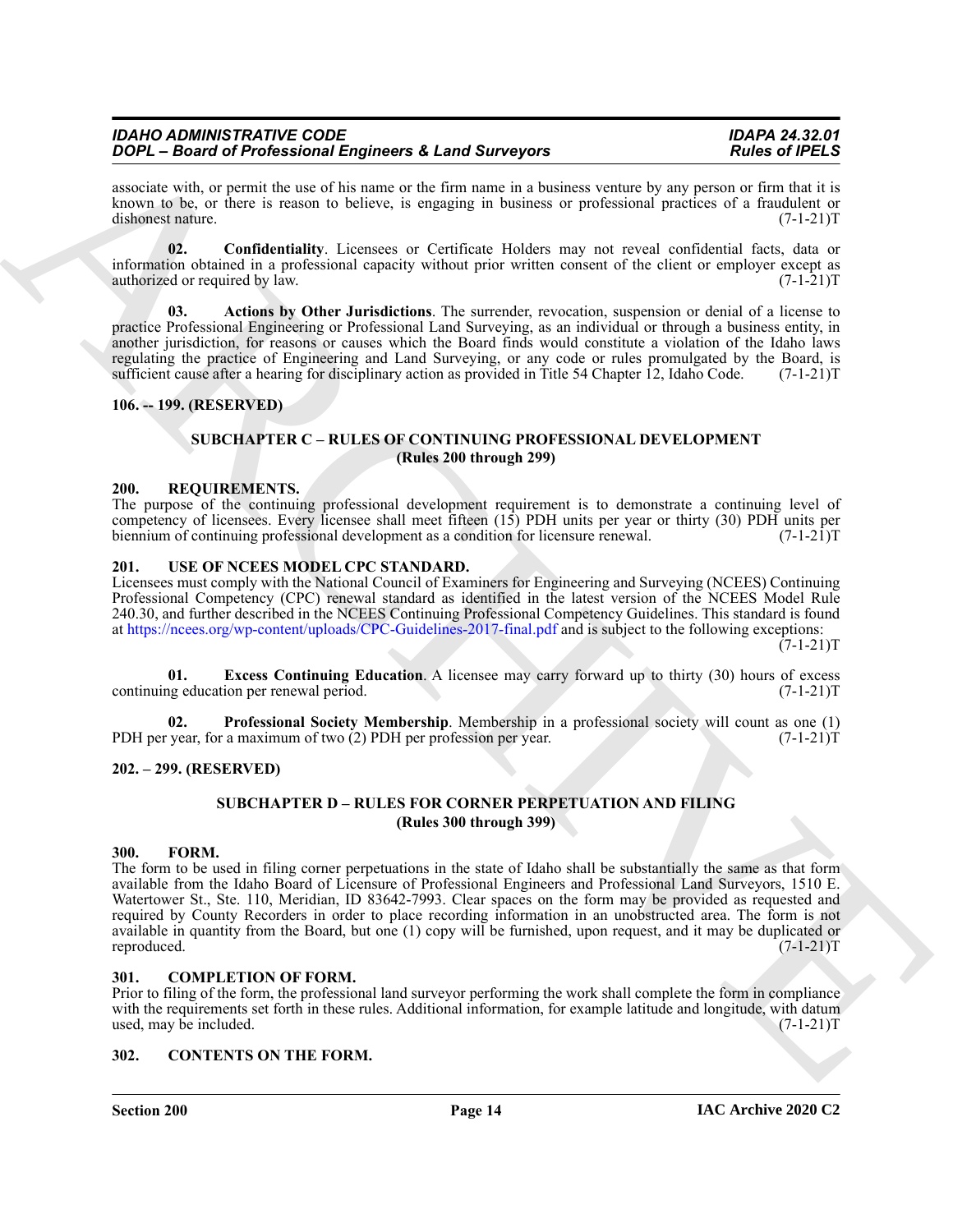associate with, or permit the use of his name or the firm name in a business venture by any person or firm that it is known to be, or there is reason to believe, is engaging in business or professional practices of a fraudulent or dishonest nature. (7-1-21) dishonest nature.

<span id="page-13-13"></span>**02. Confidentiality**. Licensees or Certificate Holders may not reveal confidential facts, data or information obtained in a professional capacity without prior written consent of the client or employer except as authorized or required by law. (7-1-21) authorized or required by law.

<span id="page-13-12"></span>**03. Actions by Other Jurisdictions**. The surrender, revocation, suspension or denial of a license to practice Professional Engineering or Professional Land Surveying, as an individual or through a business entity, in another jurisdiction, for reasons or causes which the Board finds would constitute a violation of the Idaho laws regulating the practice of Engineering and Land Surveying, or any code or rules promulgated by the Board, is sufficient cause after a hearing for disciplinary action as provided in Title 54 Chapter 12. Idaho Code. (7-1-21) sufficient cause after a hearing for disciplinary action as provided in Title 54 Chapter  $\overline{12}$ , Idaho Code.

#### <span id="page-13-1"></span><span id="page-13-0"></span>**106. -- 199. (RESERVED)**

# <span id="page-13-14"></span>**SUBCHAPTER C – RULES OF CONTINUING PROFESSIONAL DEVELOPMENT (Rules 200 through 299)**

#### <span id="page-13-2"></span>**200. REQUIREMENTS.**

The purpose of the continuing professional development requirement is to demonstrate a continuing level of competency of licensees. Every licensee shall meet fifteen  $(15)$  PDH units per year or thirty (30) PDH units per biennium of continuing professional development as a condition for licensure renewal.  $(7-1-21)$ T biennium of continuing professional development as a condition for licensure renewal.

#### <span id="page-13-15"></span><span id="page-13-3"></span>**201. USE OF NCEES MODEL CPC STANDARD.**

Licensees must comply with the National Council of Examiners for Engineering and Surveying (NCEES) Continuing Professional Competency (CPC) renewal standard as identified in the latest version of the NCEES Model Rule 240.30, and further described in the NCEES Continuing Professional Competency Guidelines. This standard is found at https://ncees.org/wp-content/uploads/CPC-Guidelines-2017-final.pdf and is subject to the following exceptions:

 $(7-1-21)T$ 

<span id="page-13-16"></span>**01.** Excess Continuing Education. A licensee may carry forward up to thirty (30) hours of excess ng education per renewal period. (7-1-21) continuing education per renewal period.

**02. Professional Society Membership**. Membership in a professional society will count as one (1) PDH per year, for a maximum of two (2) PDH per profession per year. (7-1-21)T

### <span id="page-13-5"></span><span id="page-13-4"></span>**202. – 299. (RESERVED)**

# <span id="page-13-17"></span>**SUBCHAPTER D – RULES FOR CORNER PERPETUATION AND FILING (Rules 300 through 399)**

#### <span id="page-13-11"></span><span id="page-13-6"></span>**300. FORM.**

**SOCI-Based of Foreignation 2.1 and Survey of A and Survey of A and Survey Research Control in the Survey Channel Control in the Survey Channel Control in the Survey Channel Control in the Survey Channel Control in the Su** The form to be used in filing corner perpetuations in the state of Idaho shall be substantially the same as that form available from the Idaho Board of Licensure of Professional Engineers and Professional Land Surveyors, 1510 E. Watertower St., Ste. 110, Meridian, ID 83642-7993. Clear spaces on the form may be provided as requested and required by County Recorders in order to place recording information in an unobstructed area. The form is not available in quantity from the Board, but one (1) copy will be furnished, upon request, and it may be duplicated or reproduced.  $(7-1-21)T$ reproduced. (7-1-21)T

#### <span id="page-13-9"></span><span id="page-13-7"></span>**301. COMPLETION OF FORM.**

Prior to filing of the form, the professional land surveyor performing the work shall complete the form in compliance with the requirements set forth in these rules. Additional information, for example latitude and longitude, with datum used, may be included. (7-1-21) used, may be included.

#### <span id="page-13-10"></span><span id="page-13-8"></span>**302. CONTENTS ON THE FORM.**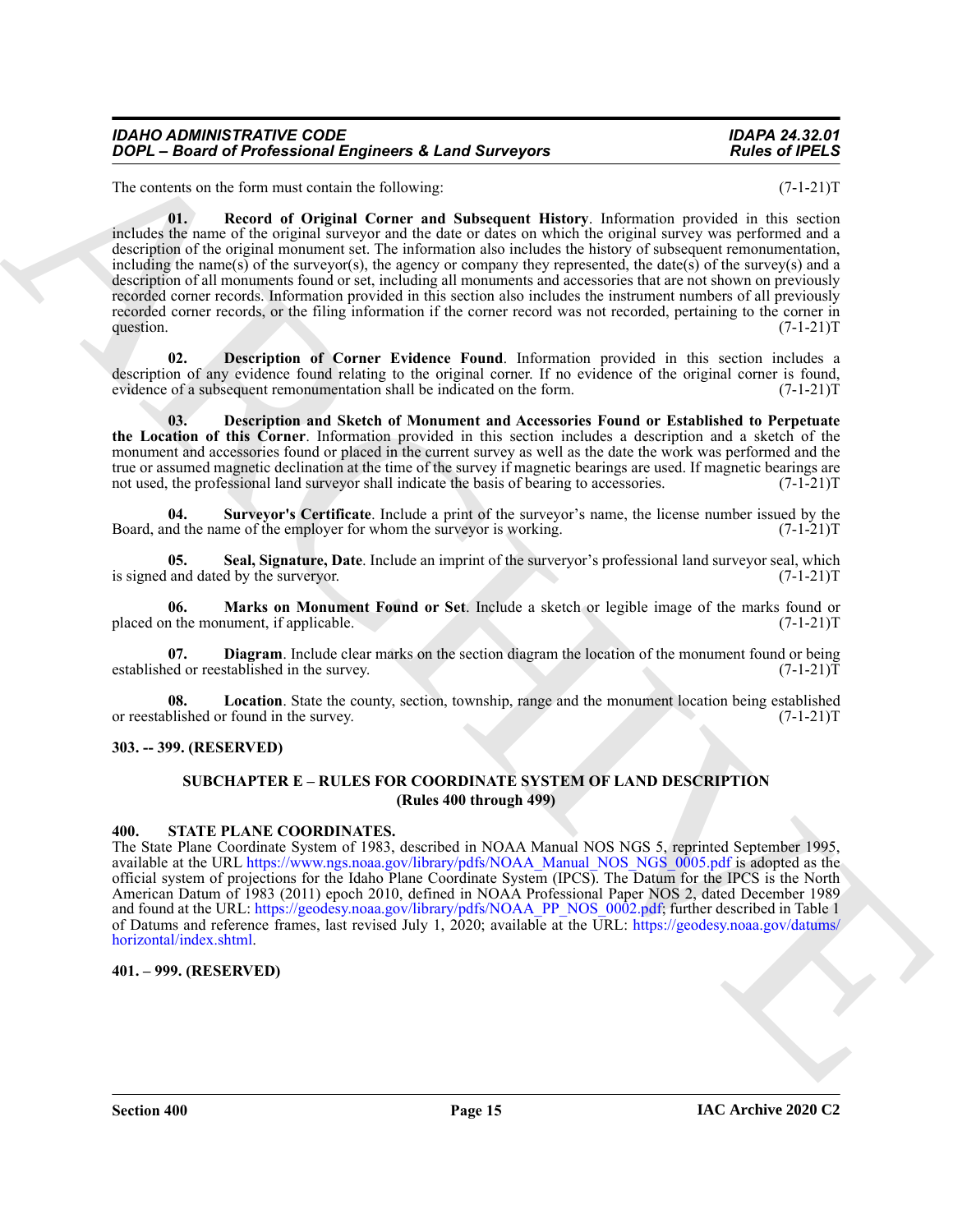<span id="page-14-7"></span>The contents on the form must contain the following: (7-1-21)T

**2004** - Board of Professional Engineers & Land Surveyors<br>
The sales of *PDEA*<br>
He caused on the Survey Marchives Reserves the Survey of *Convertical Convertical Convertical Convertical Convertical Convertical Convertical* **01. Record of Original Corner and Subsequent History**. Information provided in this section includes the name of the original surveyor and the date or dates on which the original survey was performed and a description of the original monument set. The information also includes the history of subsequent remonumentation, including the name(s) of the surveyor(s), the agency or company they represented, the date(s) of the survey(s) and a description of all monuments found or set, including all monuments and accessories that are not shown on previously recorded corner records. Information provided in this section also includes the instrument numbers of all previously recorded corner records, or the filing information if the corner record was not recorded, pertaining to the corner in question.  $(7-1-21)T$ 

<span id="page-14-5"></span>**02. Description of Corner Evidence Found**. Information provided in this section includes a description of any evidence found relating to the original corner. If no evidence of the original corner is found, evidence of a subsequent remonumentation shall be indicated on the form. (7-1-21)T

<span id="page-14-4"></span>**03. Description and Sketch of Monument and Accessories Found or Established to Perpetuate the Location of this Corner**. Information provided in this section includes a description and a sketch of the monument and accessories found or placed in the current survey as well as the date the work was performed and the true or assumed magnetic declination at the time of the survey if magnetic bearings are used. If magnetic bearings are not used, the professional land surveyor shall indicate the basis of bearing to accessories. (7-1-21)T

<span id="page-14-12"></span>**04.** Surveyor's Certificate. Include a print of the surveyor's name, the license number issued by the nd the name of the employer for whom the surveyor is working. (7-1-21) Board, and the name of the employer for whom the surveyor is working.

<span id="page-14-10"></span>**05.** Seal, Signature, Date. Include an imprint of the surveryor's professional land surveyor seal, which and dated by the surveryor. (7-1-21)<sup>T</sup> is signed and dated by the surveryor.

<span id="page-14-9"></span>**06.** Marks on Monument Found or Set. Include a sketch or legible image of the marks found or the monument, if applicable. (7-1-21) placed on the monument, if applicable.

<span id="page-14-6"></span>**07. Diagram**. Include clear marks on the section diagram the location of the monument found or being ed or reestablished in the survey. established or reestablished in the survey.

**08.** Location. State the county, section, township, range and the monument location being established blished or found in the survey. or reestablished or found in the survey.

#### <span id="page-14-1"></span><span id="page-14-0"></span>**303. -- 399. (RESERVED)**

### <span id="page-14-11"></span><span id="page-14-8"></span>**SUBCHAPTER E – RULES FOR COORDINATE SYSTEM OF LAND DESCRIPTION (Rules 400 through 499)**

#### <span id="page-14-2"></span>**400. STATE PLANE COORDINATES.**

The State Plane Coordinate System of 1983, described in NOAA Manual NOS NGS 5, reprinted September 1995, available at the URL https://www.ngs.noaa.gov/library/pdfs/NOAA\_Manual\_NOS\_NGS\_0005.pdf is adopted as the official system of projections for the Idaho Plane Coordinate System (IPCS). The Datum for the IPCS is the North American Datum of 1983 (2011) epoch 2010, defined in NOAA Professional Paper NOS 2, dated December 1989 and found at the URL: https://geodesy.noaa.gov/library/pdfs/NOAA\_PP\_NOS\_0002.pdf; further described in Table 1 of Datums and reference frames, last revised July 1, 2020; available at the URL: https://geodesy.noaa.gov/datums/ horizontal/index.shtml.

# <span id="page-14-3"></span>**401. – 999. (RESERVED)**